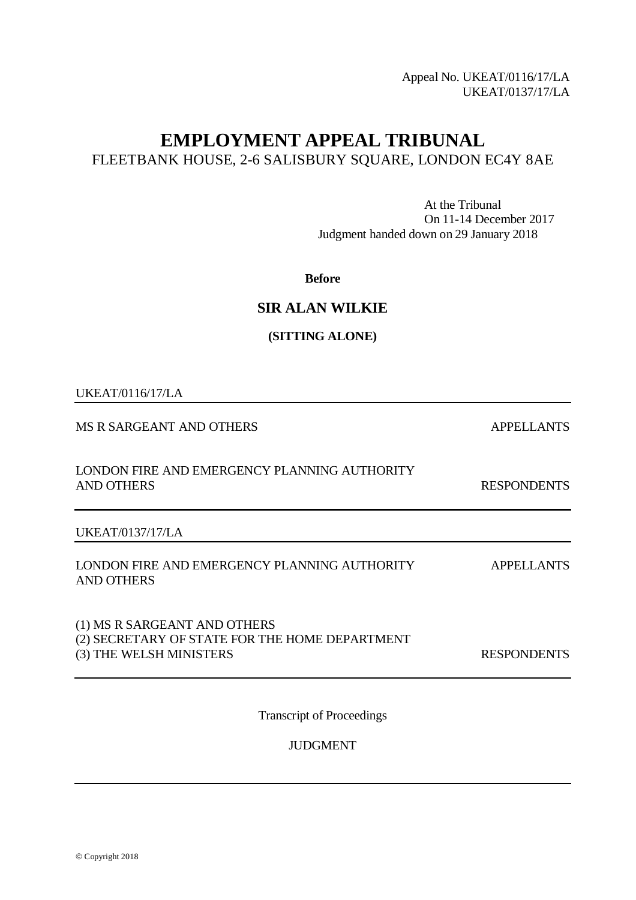Appeal No. UKEAT/0116/17/LA UKEAT/0137/17/LA

# **EMPLOYMENT APPEAL TRIBUNAL** FLEETBANK HOUSE, 2-6 SALISBURY SQUARE, LONDON EC4Y 8AE

At the Tribunal On 11-14 December 2017 Judgment handed down on 29 January 2018

**Before**

# **SIR ALAN WILKIE**

**(SITTING ALONE)**

#### UKEAT/0116/17/LA

MS R SARGEANT AND OTHERS APPELLANTS LONDON FIRE AND EMERGENCY PLANNING AUTHORITY AND OTHERS

#### UKEAT/0137/17/LA

LONDON FIRE AND EMERGENCY PLANNING AUTHORITY APPELLANTS AND OTHERS

(1) MS R SARGEANT AND OTHERS (2) SECRETARY OF STATE FOR THE HOME DEPARTMENT (3) THE WELSH MINISTERS RESPONDENTS

**RESPONDENTS** 

Transcript of Proceedings

#### **JUDGMENT**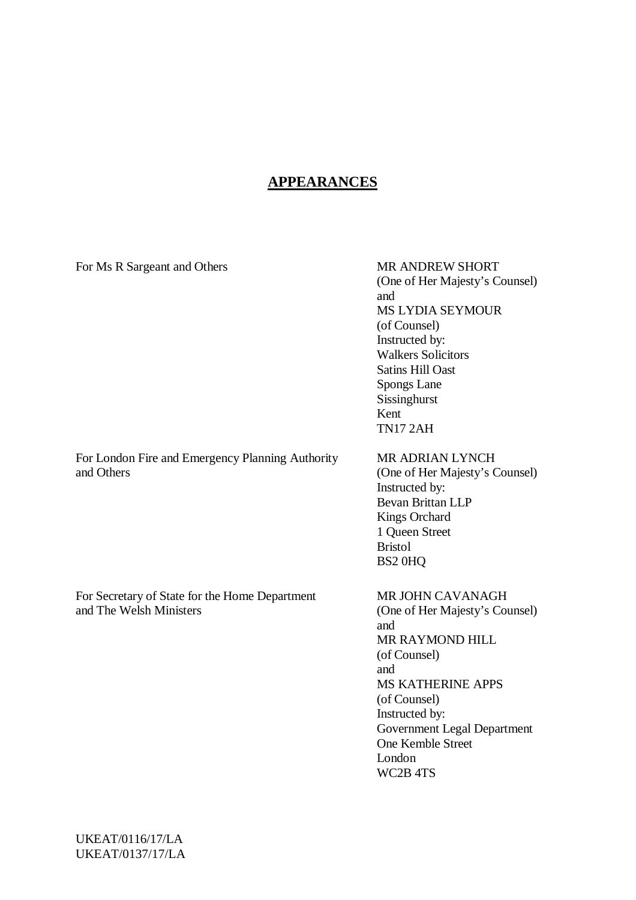# **APPEARANCES**

For Ms R Sargeant and Others MR ANDREW SHORT

(One of Her Majesty's Counsel) and MS LYDIA SEYMOUR (of Counsel) Instructed by: Walkers Solicitors Satins Hill Oast Spongs Lane Sissinghurst Kent TN17 2AH

For London Fire and Emergency Planning Authority and Others

MR ADRIAN LYNCH (One of Her Majesty's Counsel) Instructed by: Bevan Brittan LLP Kings Orchard 1 Queen Street **Bristol** BS2 0HQ

For Secretary of State for the Home Department and The Welsh Ministers

MR JOHN CAVANAGH (One of Her Majesty's Counsel) and MR RAYMOND HILL (of Counsel) and MS KATHERINE APPS (of Counsel) Instructed by: Government Legal Department One Kemble Street London WC2B 4TS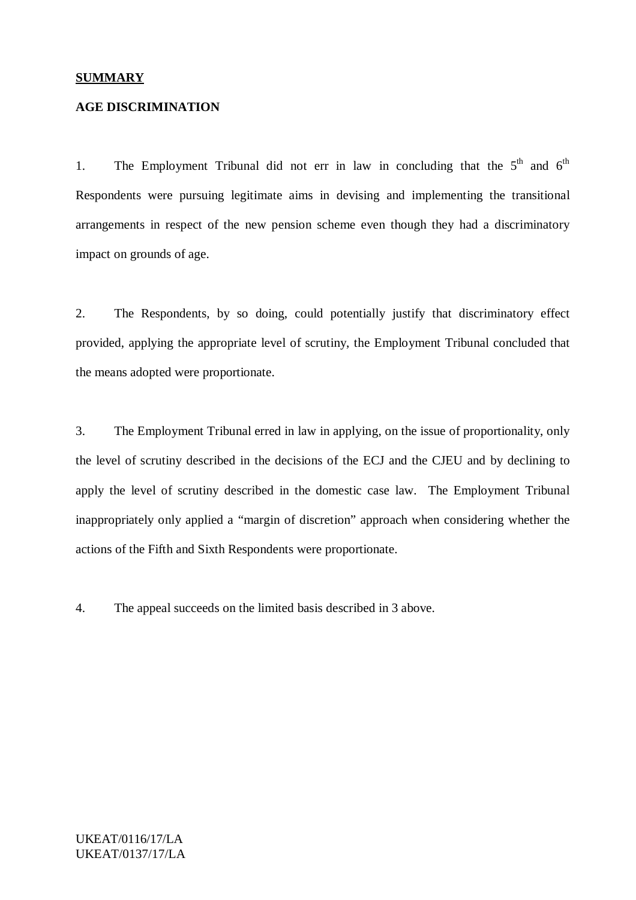#### **SUMMARY**

#### **AGE DISCRIMINATION**

1. The Employment Tribunal did not err in law in concluding that the  $5<sup>th</sup>$  and  $6<sup>th</sup>$ Respondents were pursuing legitimate aims in devising and implementing the transitional arrangements in respect of the new pension scheme even though they had a discriminatory impact on grounds of age.

2. The Respondents, by so doing, could potentially justify that discriminatory effect provided, applying the appropriate level of scrutiny, the Employment Tribunal concluded that the means adopted were proportionate.

3. The Employment Tribunal erred in law in applying, on the issue of proportionality, only the level of scrutiny described in the decisions of the ECJ and the CJEU and by declining to apply the level of scrutiny described in the domestic case law. The Employment Tribunal inappropriately only applied a "margin of discretion" approach when considering whether the actions of the Fifth and Sixth Respondents were proportionate.

4. The appeal succeeds on the limited basis described in 3 above.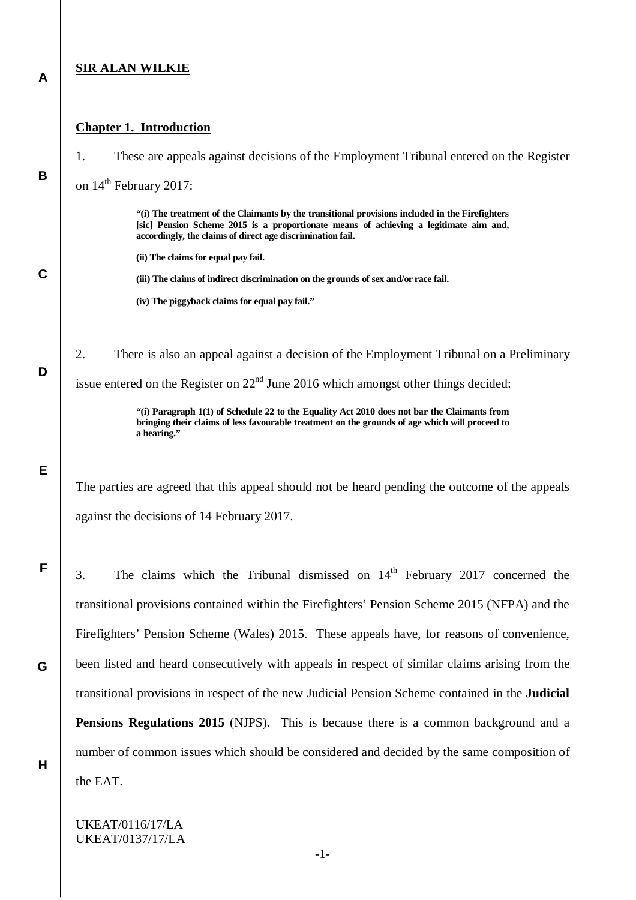#### **SIR ALAN WILKIE**

**A**

**B**

**C**

**D**

**E**

**F**

**G**

**H**

#### **Chapter 1. Introduction**

1. These are appeals against decisions of the Employment Tribunal entered on the Register on  $14^{\text{th}}$  February 2017:

> **"(i) The treatment of the Claimants by the transitional provisions included in the Firefighters [sic] Pension Scheme 2015 is a proportionate means of achieving a legitimate aim and, accordingly, the claims of direct age discrimination fail.**

**(ii) The claims for equal pay fail.**

**(iii) The claims of indirect discrimination on the grounds of sex and/or race fail.**

**(iv) The piggyback claims for equal pay fail."**

2. There is also an appeal against a decision of the Employment Tribunal on a Preliminary issue entered on the Register on  $22<sup>nd</sup>$  June 2016 which amongst other things decided:

> **"(i) Paragraph 1(1) of Schedule 22 to the Equality Act 2010 does not bar the Claimants from bringing their claims of less favourable treatment on the grounds of age which will proceed to a hearing."**

The parties are agreed that this appeal should not be heard pending the outcome of the appeals against the decisions of 14 February 2017.

3. The claims which the Tribunal dismissed on  $14<sup>th</sup>$  February 2017 concerned the transitional provisions contained within the Firefighters' Pension Scheme 2015 (NFPA) and the Firefighters' Pension Scheme (Wales) 2015. These appeals have, for reasons of convenience, been listed and heard consecutively with appeals in respect of similar claims arising from the transitional provisions in respect of the new Judicial Pension Scheme contained in the **Judicial Pensions Regulations 2015** (NJPS). This is because there is a common background and a number of common issues which should be considered and decided by the same composition of the EAT.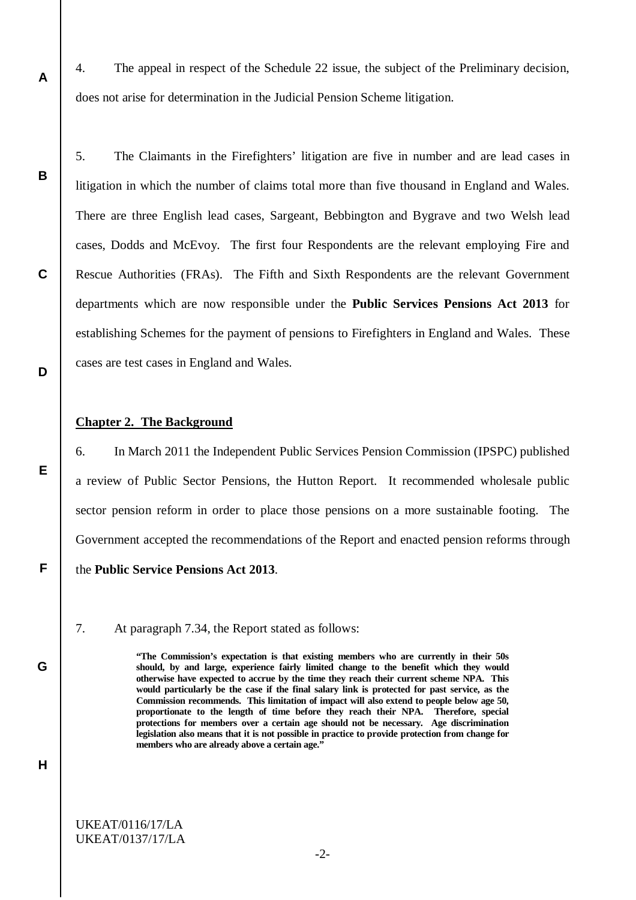4. The appeal in respect of the Schedule 22 issue, the subject of the Preliminary decision, does not arise for determination in the Judicial Pension Scheme litigation.

5. The Claimants in the Firefighters' litigation are five in number and are lead cases in litigation in which the number of claims total more than five thousand in England and Wales. There are three English lead cases, Sargeant, Bebbington and Bygrave and two Welsh lead cases, Dodds and McEvoy. The first four Respondents are the relevant employing Fire and Rescue Authorities (FRAs). The Fifth and Sixth Respondents are the relevant Government departments which are now responsible under the **Public Services Pensions Act 2013** for establishing Schemes for the payment of pensions to Firefighters in England and Wales. These cases are test cases in England and Wales.

#### **Chapter 2. The Background**

6. In March 2011 the Independent Public Services Pension Commission (IPSPC) published a review of Public Sector Pensions, the Hutton Report. It recommended wholesale public sector pension reform in order to place those pensions on a more sustainable footing. The Government accepted the recommendations of the Report and enacted pension reforms through the **Public Service Pensions Act 2013**.

7. At paragraph 7.34, the Report stated as follows:

**"The Commission's expectation is that existing members who are currently in their 50s should, by and large, experience fairly limited change to the benefit which they would otherwise have expected to accrue by the time they reach their current scheme NPA. This would particularly be the case if the final salary link is protected for past service, as the Commission recommends. This limitation of impact will also extend to people below age 50, proportionate to the length of time before they reach their NPA. Therefore, special protections for members over a certain age should not be necessary. Age discrimination legislation also means that it is not possible in practice to provide protection from change for members who are already above a certain age."**

UKEAT/0116/17/LA UKEAT/0137/17/LA

**A**

**B**

**C**

**D**

**E**

**F**

**G**

**H**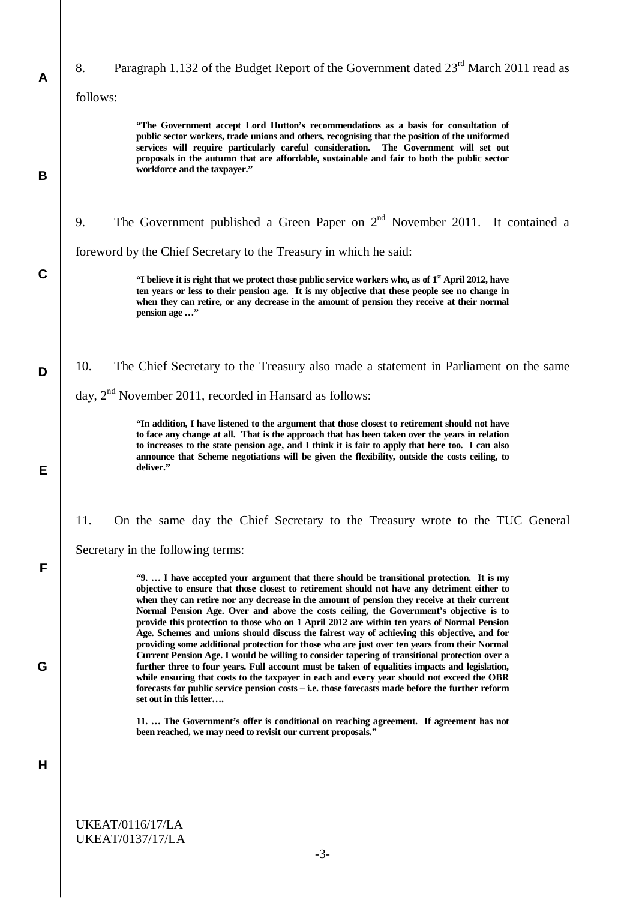| $\mathsf{A}$ | 8.  | Paragraph 1.132 of the Budget Report of the Government dated 23 <sup>rd</sup> March 2011 read as                                                                                                                                                                                                                                                                                                                                                                                                                                                                                                                                                                                  |  |  |  |  |
|--------------|-----|-----------------------------------------------------------------------------------------------------------------------------------------------------------------------------------------------------------------------------------------------------------------------------------------------------------------------------------------------------------------------------------------------------------------------------------------------------------------------------------------------------------------------------------------------------------------------------------------------------------------------------------------------------------------------------------|--|--|--|--|
|              |     | follows:                                                                                                                                                                                                                                                                                                                                                                                                                                                                                                                                                                                                                                                                          |  |  |  |  |
| B            |     | "The Government accept Lord Hutton's recommendations as a basis for consultation of<br>public sector workers, trade unions and others, recognising that the position of the uniformed<br>services will require particularly careful consideration.<br>The Government will set out<br>proposals in the autumn that are affordable, sustainable and fair to both the public sector<br>workforce and the taxpayer."                                                                                                                                                                                                                                                                  |  |  |  |  |
|              | 9.  | The Government published a Green Paper on $2nd$ November 2011. It contained a                                                                                                                                                                                                                                                                                                                                                                                                                                                                                                                                                                                                     |  |  |  |  |
|              |     | foreword by the Chief Secretary to the Treasury in which he said:                                                                                                                                                                                                                                                                                                                                                                                                                                                                                                                                                                                                                 |  |  |  |  |
| $\mathbf C$  |     | "I believe it is right that we protect those public service workers who, as of 1 <sup>st</sup> April 2012, have<br>ten years or less to their pension age. It is my objective that these people see no change in<br>when they can retire, or any decrease in the amount of pension they receive at their normal<br>pension age "                                                                                                                                                                                                                                                                                                                                                  |  |  |  |  |
| D            | 10. | The Chief Secretary to the Treasury also made a statement in Parliament on the same                                                                                                                                                                                                                                                                                                                                                                                                                                                                                                                                                                                               |  |  |  |  |
|              |     | day, 2 <sup>nd</sup> November 2011, recorded in Hansard as follows:                                                                                                                                                                                                                                                                                                                                                                                                                                                                                                                                                                                                               |  |  |  |  |
| Е            |     | "In addition, I have listened to the argument that those closest to retirement should not have<br>to face any change at all. That is the approach that has been taken over the years in relation<br>to increases to the state pension age, and I think it is fair to apply that here too. I can also<br>announce that Scheme negotiations will be given the flexibility, outside the costs ceiling, to<br>deliver."                                                                                                                                                                                                                                                               |  |  |  |  |
|              | 11. | On the same day the Chief Secretary to the Treasury wrote to the TUC General                                                                                                                                                                                                                                                                                                                                                                                                                                                                                                                                                                                                      |  |  |  |  |
|              |     | Secretary in the following terms:                                                                                                                                                                                                                                                                                                                                                                                                                                                                                                                                                                                                                                                 |  |  |  |  |
| F            |     | "9.  I have accepted your argument that there should be transitional protection. It is my<br>objective to ensure that those closest to retirement should not have any detriment either to<br>when they can retire nor any decrease in the amount of pension they receive at their current<br>Normal Pension Age. Over and above the costs ceiling, the Government's objective is to<br>provide this protection to those who on 1 April 2012 are within ten years of Normal Pension<br>Age. Schemes and unions should discuss the fairest way of achieving this objective, and for<br>providing some additional protection for those who are just over ten years from their Normal |  |  |  |  |
| G            |     | Current Pension Age. I would be willing to consider tapering of transitional protection over a<br>further three to four years. Full account must be taken of equalities impacts and legislation,<br>while ensuring that costs to the taxpayer in each and every year should not exceed the OBR<br>forecasts for public service pension costs – i.e. those forecasts made before the further reform<br>set out in this letter                                                                                                                                                                                                                                                      |  |  |  |  |
|              |     | 11.  The Government's offer is conditional on reaching agreement. If agreement has not<br>been reached, we may need to revisit our current proposals."                                                                                                                                                                                                                                                                                                                                                                                                                                                                                                                            |  |  |  |  |
| Н            |     |                                                                                                                                                                                                                                                                                                                                                                                                                                                                                                                                                                                                                                                                                   |  |  |  |  |
|              |     | <b>UKEAT/0116/17/LA</b><br><b>UKEAT/0137/17/LA</b>                                                                                                                                                                                                                                                                                                                                                                                                                                                                                                                                                                                                                                |  |  |  |  |

-3-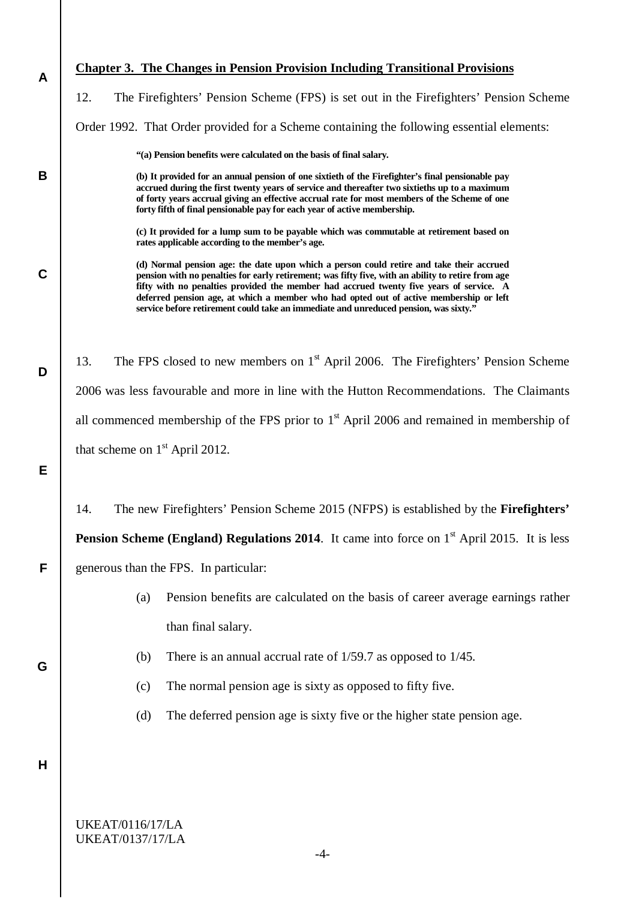#### **Chapter 3. The Changes in Pension Provision Including Transitional Provisions**

12. The Firefighters' Pension Scheme (FPS) is set out in the Firefighters' Pension Scheme

Order 1992. That Order provided for a Scheme containing the following essential elements:

**"(a) Pension benefits were calculated on the basis of final salary.**

**(b) It provided for an annual pension of one sixtieth of the Firefighter's final pensionable pay accrued during the first twenty years of service and thereafter two sixtieths up to a maximum of forty years accrual giving an effective accrual rate for most members of the Scheme of one forty fifth of final pensionable pay for each year of active membership.**

**(c) It provided for a lump sum to be payable which was commutable at retirement based on rates applicable according to the member's age.**

**(d) Normal pension age: the date upon which a person could retire and take their accrued pension with no penalties for early retirement; was fifty five, with an ability to retire from age fifty with no penalties provided the member had accrued twenty five years of service. A deferred pension age, at which a member who had opted out of active membership or left service before retirement could take an immediate and unreduced pension, was sixty."**

13. The FPS closed to new members on  $1<sup>st</sup>$  April 2006. The Firefighters' Pension Scheme 2006 was less favourable and more in line with the Hutton Recommendations. The Claimants all commenced membership of the FPS prior to  $1<sup>st</sup>$  April 2006 and remained in membership of that scheme on  $1<sup>st</sup>$  April 2012.

14. The new Firefighters' Pension Scheme 2015 (NFPS) is established by the **Firefighters' Pension Scheme (England) Regulations 2014.** It came into force on 1<sup>st</sup> April 2015. It is less

generous than the FPS. In particular:

- (a) Pension benefits are calculated on the basis of career average earnings rather than final salary.
- (b) There is an annual accrual rate of 1/59.7 as opposed to 1/45.
- (c) The normal pension age is sixty as opposed to fifty five.
- (d) The deferred pension age is sixty five or the higher state pension age.

**H**

**A**

**B**

**C**

**D**

**E**

**F**

**G**

UKEAT/0116/17/LA UKEAT/0137/17/LA

-4-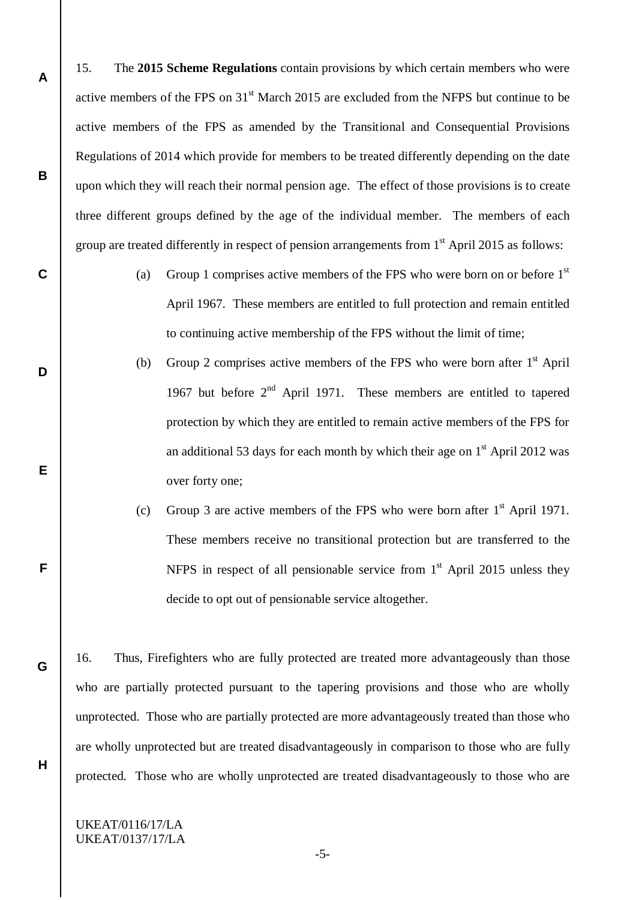15. The **2015 Scheme Regulations** contain provisions by which certain members who were active members of the FPS on  $31<sup>st</sup>$  March 2015 are excluded from the NFPS but continue to be active members of the FPS as amended by the Transitional and Consequential Provisions Regulations of 2014 which provide for members to be treated differently depending on the date upon which they will reach their normal pension age. The effect of those provisions is to create three different groups defined by the age of the individual member. The members of each group are treated differently in respect of pension arrangements from 1<sup>st</sup> April 2015 as follows:

- (a) Group 1 comprises active members of the FPS who were born on or before  $1<sup>st</sup>$ April 1967. These members are entitled to full protection and remain entitled to continuing active membership of the FPS without the limit of time;
- (b) Group 2 comprises active members of the FPS who were born after  $1<sup>st</sup>$  April 1967 but before  $2<sup>nd</sup>$  April 1971. These members are entitled to tapered protection by which they are entitled to remain active members of the FPS for an additional 53 days for each month by which their age on  $1<sup>st</sup>$  April 2012 was over forty one;
- (c) Group 3 are active members of the FPS who were born after  $1<sup>st</sup>$  April 1971. These members receive no transitional protection but are transferred to the NFPS in respect of all pensionable service from  $1<sup>st</sup>$  April 2015 unless they decide to opt out of pensionable service altogether.

16. Thus, Firefighters who are fully protected are treated more advantageously than those who are partially protected pursuant to the tapering provisions and those who are wholly unprotected. Those who are partially protected are more advantageously treated than those who are wholly unprotected but are treated disadvantageously in comparison to those who are fully protected. Those who are wholly unprotected are treated disadvantageously to those who are

UKEAT/0116/17/LA UKEAT/0137/17/LA

**A**

**B**

**C**

**D**

**E**

**F**

**G**

**H**

-5-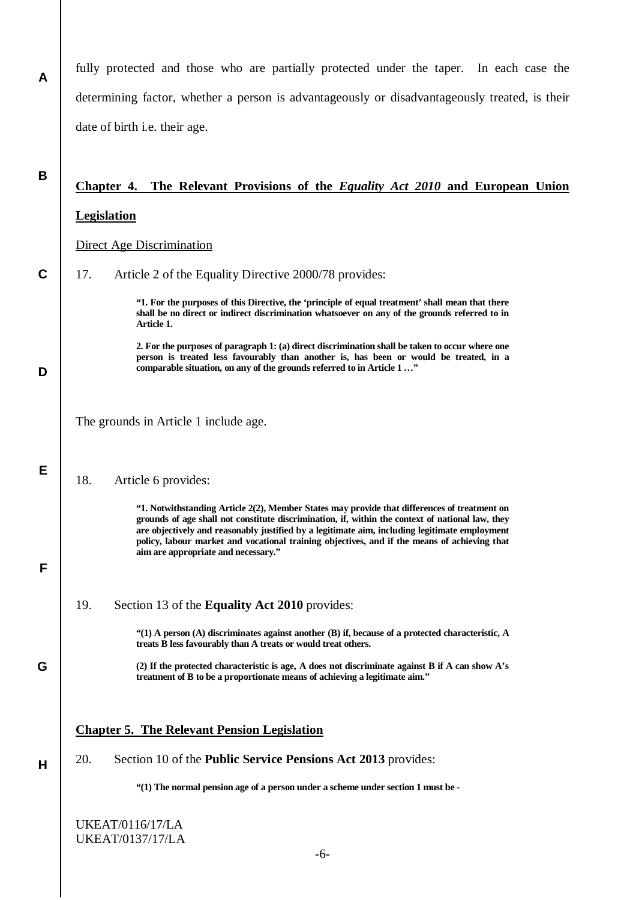fully protected and those who are partially protected under the taper. In each case the determining factor, whether a person is advantageously or disadvantageously treated, is their date of birth i.e. their age.

# **Chapter 4. The Relevant Provisions of the** *Equality Act 2010* **and European Union Legislation**

# Direct Age Discrimination

**A**

**B**

**C**

**D**

**E**

**F**

**G**

**H**

17. Article 2 of the Equality Directive 2000/78 provides:

**"1. For the purposes of this Directive, the 'principle of equal treatment' shall mean that there shall be no direct or indirect discrimination whatsoever on any of the grounds referred to in Article 1.**

**2. For the purposes of paragraph 1: (a) direct discrimination shall be taken to occur where one person is treated less favourably than another is, has been or would be treated, in a comparable situation, on any of the grounds referred to in Article 1 …"**

The grounds in Article 1 include age.

#### 18. Article 6 provides:

**"1. Notwithstanding Article 2(2), Member States may provide that differences of treatment on grounds of age shall not constitute discrimination, if, within the context of national law, they are objectively and reasonably justified by a legitimate aim, including legitimate employment policy, labour market and vocational training objectives, and if the means of achieving that aim are appropriate and necessary."**

19. Section 13 of the **Equality Act 2010** provides:

**"(1) A person (A) discriminates against another (B) if, because of a protected characteristic, A treats B less favourably than A treats or would treat others.**

**(2) If the protected characteristic is age, A does not discriminate against B if A can show A's treatment of B to be a proportionate means of achieving a legitimate aim."**

#### **Chapter 5. The Relevant Pension Legislation**

20. Section 10 of the **Public Service Pensions Act 2013** provides:

**"(1) The normal pension age of a person under a scheme under section 1 must be -**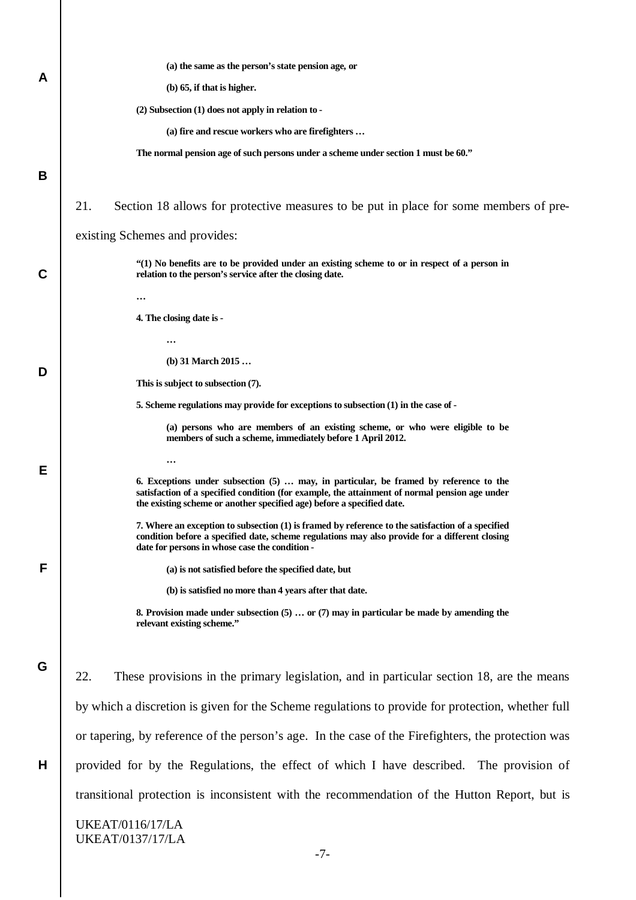| A | (a) the same as the person's state pension age, or                                                                                                                                                                                                                |  |  |  |  |
|---|-------------------------------------------------------------------------------------------------------------------------------------------------------------------------------------------------------------------------------------------------------------------|--|--|--|--|
|   | $(b)$ 65, if that is higher.                                                                                                                                                                                                                                      |  |  |  |  |
|   | $(2)$ Subsection $(1)$ does not apply in relation to -                                                                                                                                                                                                            |  |  |  |  |
|   | (a) fire and rescue workers who are firefighters                                                                                                                                                                                                                  |  |  |  |  |
|   | The normal pension age of such persons under a scheme under section 1 must be 60."                                                                                                                                                                                |  |  |  |  |
| B |                                                                                                                                                                                                                                                                   |  |  |  |  |
|   | 21.<br>Section 18 allows for protective measures to be put in place for some members of pre-                                                                                                                                                                      |  |  |  |  |
|   | existing Schemes and provides:                                                                                                                                                                                                                                    |  |  |  |  |
| C | $(1)$ No benefits are to be provided under an existing scheme to or in respect of a person in<br>relation to the person's service after the closing date.                                                                                                         |  |  |  |  |
|   |                                                                                                                                                                                                                                                                   |  |  |  |  |
|   | 4. The closing date is -                                                                                                                                                                                                                                          |  |  |  |  |
|   |                                                                                                                                                                                                                                                                   |  |  |  |  |
| D | (b) 31 March 2015                                                                                                                                                                                                                                                 |  |  |  |  |
|   | This is subject to subsection (7).                                                                                                                                                                                                                                |  |  |  |  |
|   | 5. Scheme regulations may provide for exceptions to subsection (1) in the case of -                                                                                                                                                                               |  |  |  |  |
| E | (a) persons who are members of an existing scheme, or who were eligible to be<br>members of such a scheme, immediately before 1 April 2012.                                                                                                                       |  |  |  |  |
|   | $\cdots$                                                                                                                                                                                                                                                          |  |  |  |  |
|   | 6. Exceptions under subsection (5)  may, in particular, be framed by reference to the<br>satisfaction of a specified condition (for example, the attainment of normal pension age under<br>the existing scheme or another specified age) before a specified date. |  |  |  |  |
|   | 7. Where an exception to subsection (1) is framed by reference to the satisfaction of a specified<br>condition before a specified date, scheme regulations may also provide for a different closing<br>date for persons in whose case the condition -             |  |  |  |  |
| F | (a) is not satisfied before the specified date, but                                                                                                                                                                                                               |  |  |  |  |
|   | (b) is satisfied no more than 4 years after that date.                                                                                                                                                                                                            |  |  |  |  |
|   | 8. Provision made under subsection $(5)$ or $(7)$ may in particular be made by amending the<br>relevant existing scheme."                                                                                                                                         |  |  |  |  |
|   |                                                                                                                                                                                                                                                                   |  |  |  |  |
| G | 22.<br>These provisions in the primary legislation, and in particular section 18, are the means                                                                                                                                                                   |  |  |  |  |
|   | by which a discretion is given for the Scheme regulations to provide for protection, whether full                                                                                                                                                                 |  |  |  |  |
|   | or tapering, by reference of the person's age. In the case of the Firefighters, the protection was                                                                                                                                                                |  |  |  |  |
| Н | provided for by the Regulations, the effect of which I have described. The provision of                                                                                                                                                                           |  |  |  |  |
|   | transitional protection is inconsistent with the recommendation of the Hutton Report, but is                                                                                                                                                                      |  |  |  |  |
|   | <b>UKEAT/0116/17/LA</b>                                                                                                                                                                                                                                           |  |  |  |  |
|   | <b>UKEAT/0137/17/LA</b><br>$-7-$                                                                                                                                                                                                                                  |  |  |  |  |
|   |                                                                                                                                                                                                                                                                   |  |  |  |  |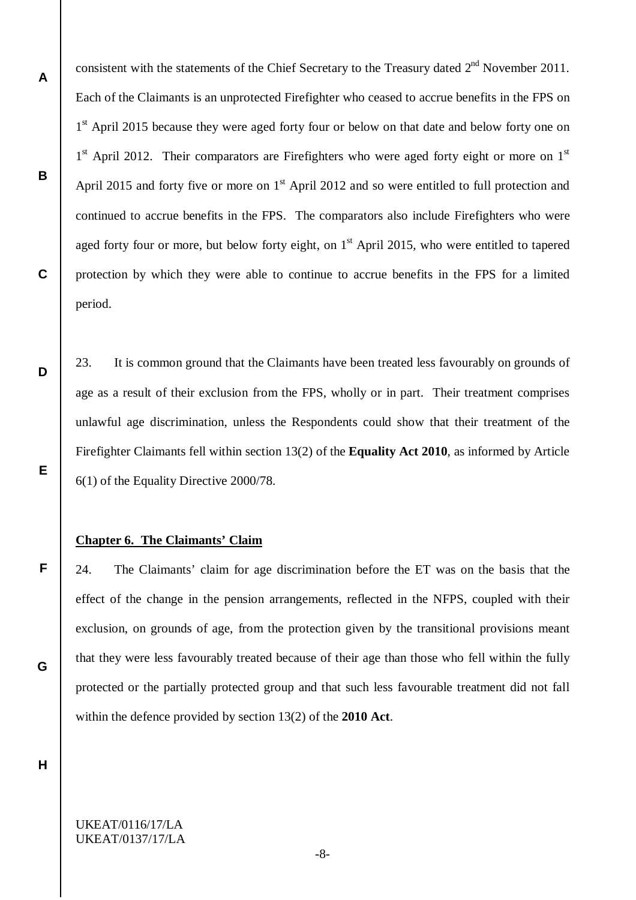consistent with the statements of the Chief Secretary to the Treasury dated  $2<sup>nd</sup>$  November 2011. Each of the Claimants is an unprotected Firefighter who ceased to accrue benefits in the FPS on 1<sup>st</sup> April 2015 because they were aged forty four or below on that date and below forty one on 1<sup>st</sup> April 2012. Their comparators are Firefighters who were aged forty eight or more on 1<sup>st</sup> April 2015 and forty five or more on  $1<sup>st</sup>$  April 2012 and so were entitled to full protection and continued to accrue benefits in the FPS. The comparators also include Firefighters who were aged forty four or more, but below forty eight, on  $1<sup>st</sup>$  April 2015, who were entitled to tapered protection by which they were able to continue to accrue benefits in the FPS for a limited period.

23. It is common ground that the Claimants have been treated less favourably on grounds of age as a result of their exclusion from the FPS, wholly or in part. Their treatment comprises unlawful age discrimination, unless the Respondents could show that their treatment of the Firefighter Claimants fell within section 13(2) of the **Equality Act 2010**, as informed by Article 6(1) of the Equality Directive 2000/78.

#### **Chapter 6. The Claimants' Claim**

24. The Claimants' claim for age discrimination before the ET was on the basis that the effect of the change in the pension arrangements, reflected in the NFPS, coupled with their exclusion, on grounds of age, from the protection given by the transitional provisions meant that they were less favourably treated because of their age than those who fell within the fully protected or the partially protected group and that such less favourable treatment did not fall within the defence provided by section 13(2) of the **2010 Act**.

**H**

**A**

**B**

**C**

**D**

**E**

**F**

**G**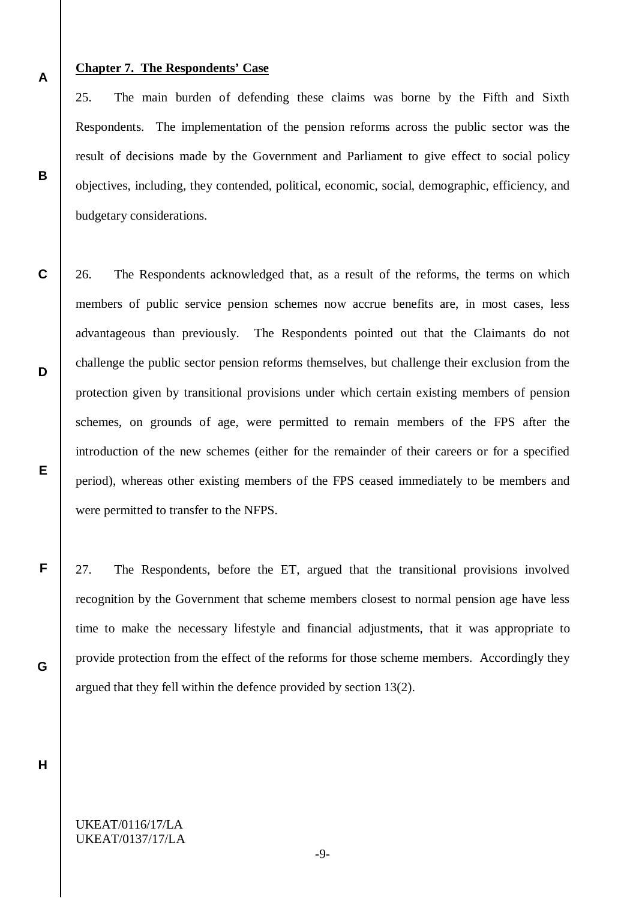#### **Chapter 7. The Respondents' Case**

**A**

**B**

**C**

**D**

**E**

**F**

**G**

25. The main burden of defending these claims was borne by the Fifth and Sixth Respondents. The implementation of the pension reforms across the public sector was the result of decisions made by the Government and Parliament to give effect to social policy objectives, including, they contended, political, economic, social, demographic, efficiency, and budgetary considerations.

26. The Respondents acknowledged that, as a result of the reforms, the terms on which members of public service pension schemes now accrue benefits are, in most cases, less advantageous than previously. The Respondents pointed out that the Claimants do not challenge the public sector pension reforms themselves, but challenge their exclusion from the protection given by transitional provisions under which certain existing members of pension schemes, on grounds of age, were permitted to remain members of the FPS after the introduction of the new schemes (either for the remainder of their careers or for a specified period), whereas other existing members of the FPS ceased immediately to be members and were permitted to transfer to the NFPS.

27. The Respondents, before the ET, argued that the transitional provisions involved recognition by the Government that scheme members closest to normal pension age have less time to make the necessary lifestyle and financial adjustments, that it was appropriate to provide protection from the effect of the reforms for those scheme members. Accordingly they argued that they fell within the defence provided by section 13(2).

**H**

# UKEAT/0116/17/LA UKEAT/0137/17/LA

-9-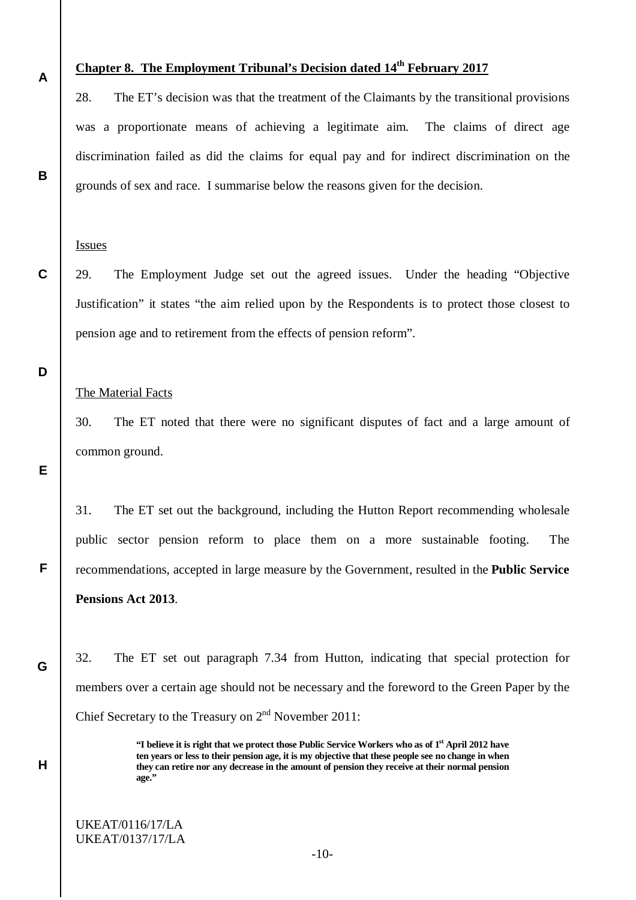# **Chapter 8. The Employment Tribunal's Decision dated 14th February 2017**

28. The ET's decision was that the treatment of the Claimants by the transitional provisions was a proportionate means of achieving a legitimate aim. The claims of direct age discrimination failed as did the claims for equal pay and for indirect discrimination on the grounds of sex and race. I summarise below the reasons given for the decision.

#### Issues

29. The Employment Judge set out the agreed issues. Under the heading "Objective Justification" it states "the aim relied upon by the Respondents is to protect those closest to pension age and to retirement from the effects of pension reform".

#### **D**

**E**

**F**

**G**

**H**

**A**

**B**

**C**

#### The Material Facts

30. The ET noted that there were no significant disputes of fact and a large amount of common ground.

31. The ET set out the background, including the Hutton Report recommending wholesale public sector pension reform to place them on a more sustainable footing. The recommendations, accepted in large measure by the Government, resulted in the **Public Service Pensions Act 2013**.

32. The ET set out paragraph 7.34 from Hutton, indicating that special protection for members over a certain age should not be necessary and the foreword to the Green Paper by the Chief Secretary to the Treasury on  $2<sup>nd</sup>$  November 2011:

> **"I believe it is right that we protect those Public Service Workers who as of 1st April 2012 have ten years or less to their pension age, it is my objective that these people see no change in when they can retire nor any decrease in the amount of pension they receive at their normal pension age."**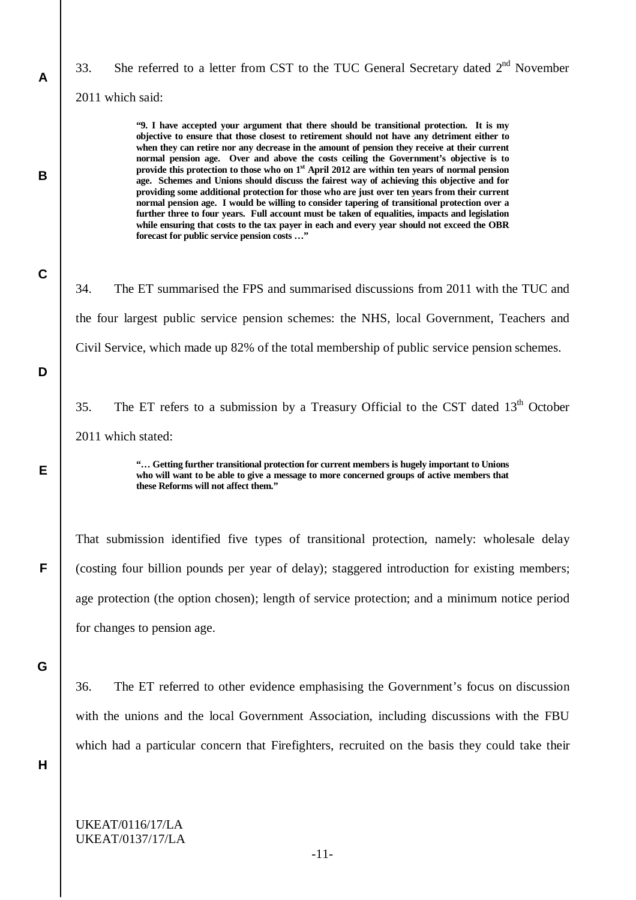33. She referred to a letter from CST to the TUC General Secretary dated  $2<sup>nd</sup>$  November

2011 which said:

**"9. I have accepted your argument that there should be transitional protection. It is my objective to ensure that those closest to retirement should not have any detriment either to when they can retire nor any decrease in the amount of pension they receive at their current normal pension age. Over and above the costs ceiling the Government's objective is to provide this protection to those who on 1st April 2012 are within ten years of normal pension age. Schemes and Unions should discuss the fairest way of achieving this objective and for providing some additional protection for those who are just over ten years from their current normal pension age. I would be willing to consider tapering of transitional protection over a further three to four years. Full account must be taken of equalities, impacts and legislation while ensuring that costs to the tax payer in each and every year should not exceed the OBR forecast for public service pension costs …"**

**C**

**D**

**E**

**F**

**A**

**B**

34. The ET summarised the FPS and summarised discussions from 2011 with the TUC and the four largest public service pension schemes: the NHS, local Government, Teachers and Civil Service, which made up 82% of the total membership of public service pension schemes.

35. The ET refers to a submission by a Treasury Official to the CST dated  $13<sup>th</sup>$  October 2011 which stated:

> **"… Getting further transitional protection for current members is hugely important to Unions who will want to be able to give a message to more concerned groups of active members that these Reforms will not affect them."**

That submission identified five types of transitional protection, namely: wholesale delay (costing four billion pounds per year of delay); staggered introduction for existing members; age protection (the option chosen); length of service protection; and a minimum notice period for changes to pension age.

**G**

36. The ET referred to other evidence emphasising the Government's focus on discussion with the unions and the local Government Association, including discussions with the FBU which had a particular concern that Firefighters, recruited on the basis they could take their

**H**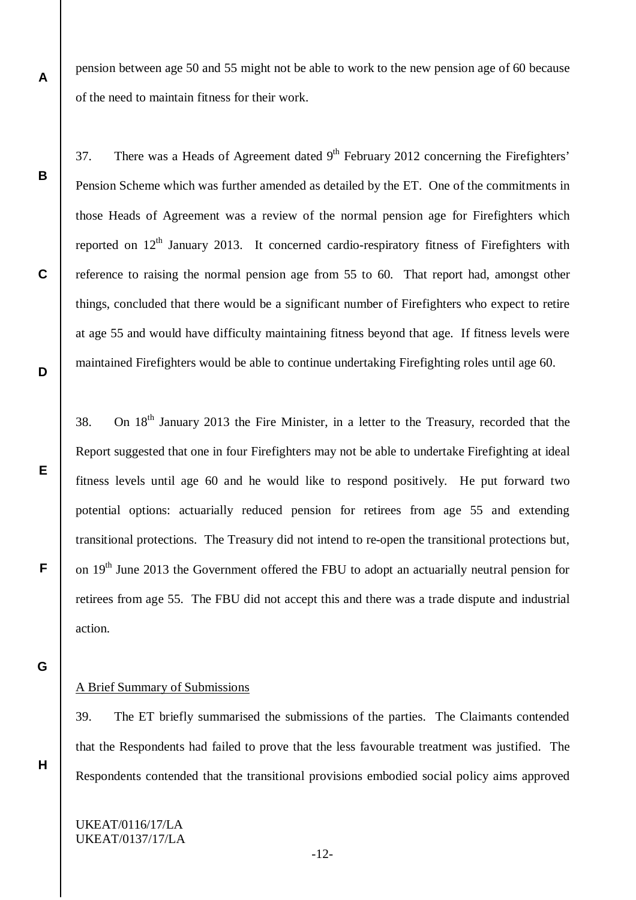pension between age 50 and 55 might not be able to work to the new pension age of 60 because of the need to maintain fitness for their work.

37. There was a Heads of Agreement dated  $9<sup>th</sup>$  February 2012 concerning the Firefighters' Pension Scheme which was further amended as detailed by the ET. One of the commitments in those Heads of Agreement was a review of the normal pension age for Firefighters which reported on  $12<sup>th</sup>$  January 2013. It concerned cardio-respiratory fitness of Firefighters with reference to raising the normal pension age from 55 to 60. That report had, amongst other things, concluded that there would be a significant number of Firefighters who expect to retire at age 55 and would have difficulty maintaining fitness beyond that age. If fitness levels were maintained Firefighters would be able to continue undertaking Firefighting roles until age 60.

38. On  $18<sup>th</sup>$  January 2013 the Fire Minister, in a letter to the Treasury, recorded that the Report suggested that one in four Firefighters may not be able to undertake Firefighting at ideal fitness levels until age 60 and he would like to respond positively. He put forward two potential options: actuarially reduced pension for retirees from age 55 and extending transitional protections. The Treasury did not intend to re-open the transitional protections but, on  $19<sup>th</sup>$  June 2013 the Government offered the FBU to adopt an actuarially neutral pension for retirees from age 55. The FBU did not accept this and there was a trade dispute and industrial action.

**G**

**H**

**A**

**B**

**C**

**D**

**E**

**F**

#### A Brief Summary of Submissions

39. The ET briefly summarised the submissions of the parties. The Claimants contended that the Respondents had failed to prove that the less favourable treatment was justified. The Respondents contended that the transitional provisions embodied social policy aims approved

UKEAT/0116/17/LA UKEAT/0137/17/LA

-12-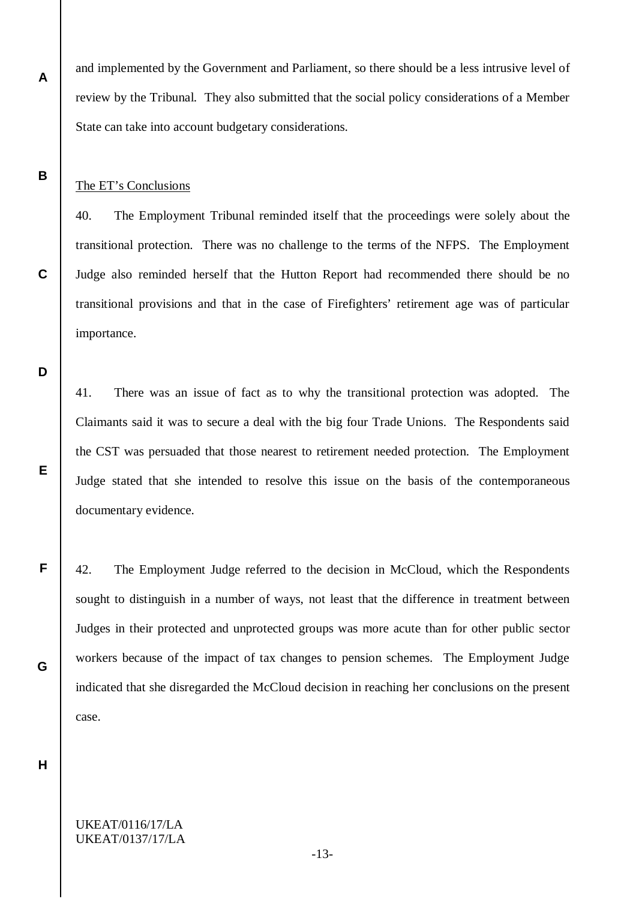and implemented by the Government and Parliament, so there should be a less intrusive level of review by the Tribunal. They also submitted that the social policy considerations of a Member State can take into account budgetary considerations.

#### The ET's Conclusions

**A**

**B**

**C**

**D**

**E**

**F**

**G**

40. The Employment Tribunal reminded itself that the proceedings were solely about the transitional protection. There was no challenge to the terms of the NFPS. The Employment Judge also reminded herself that the Hutton Report had recommended there should be no transitional provisions and that in the case of Firefighters' retirement age was of particular importance.

41. There was an issue of fact as to why the transitional protection was adopted. The Claimants said it was to secure a deal with the big four Trade Unions. The Respondents said the CST was persuaded that those nearest to retirement needed protection. The Employment Judge stated that she intended to resolve this issue on the basis of the contemporaneous documentary evidence.

42. The Employment Judge referred to the decision in McCloud, which the Respondents sought to distinguish in a number of ways, not least that the difference in treatment between Judges in their protected and unprotected groups was more acute than for other public sector workers because of the impact of tax changes to pension schemes. The Employment Judge indicated that she disregarded the McCloud decision in reaching her conclusions on the present case.

**H**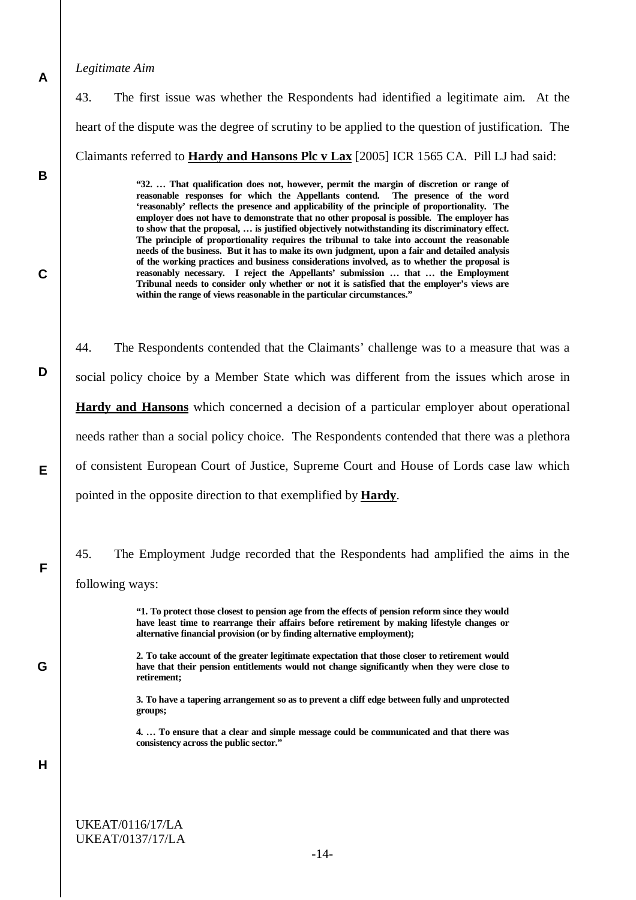#### *Legitimate Aim*

**A**

**B**

**C**

**D**

**E**

**F**

**G**

**H**

43. The first issue was whether the Respondents had identified a legitimate aim. At the heart of the dispute was the degree of scrutiny to be applied to the question of justification. The Claimants referred to **Hardy and Hansons Plc v Lax** [2005] ICR 1565 CA. Pill LJ had said:

> **"32. … That qualification does not, however, permit the margin of discretion or range of reasonable responses for which the Appellants contend. The presence of the word 'reasonably' reflects the presence and applicability of the principle of proportionality. The employer does not have to demonstrate that no other proposal is possible. The employer has to show that the proposal, … is justified objectively notwithstanding its discriminatory effect. The principle of proportionality requires the tribunal to take into account the reasonable needs of the business. But it has to make its own judgment, upon a fair and detailed analysis of the working practices and business considerations involved, as to whether the proposal is reasonably necessary. I reject the Appellants' submission … that … the Employment Tribunal needs to consider only whether or not it is satisfied that the employer's views are within the range of views reasonable in the particular circumstances."**

44. The Respondents contended that the Claimants' challenge was to a measure that was a social policy choice by a Member State which was different from the issues which arose in **Hardy and Hansons** which concerned a decision of a particular employer about operational needs rather than a social policy choice. The Respondents contended that there was a plethora of consistent European Court of Justice, Supreme Court and House of Lords case law which pointed in the opposite direction to that exemplified by **Hardy**.

45. The Employment Judge recorded that the Respondents had amplified the aims in the following ways:

> **"1. To protect those closest to pension age from the effects of pension reform since they would have least time to rearrange their affairs before retirement by making lifestyle changes or alternative financial provision (or by finding alternative employment);**

> **2. To take account of the greater legitimate expectation that those closer to retirement would have that their pension entitlements would not change significantly when they were close to retirement;**

> **3. To have a tapering arrangement so as to prevent a cliff edge between fully and unprotected groups;**

> **4. … To ensure that a clear and simple message could be communicated and that there was consistency across the public sector."**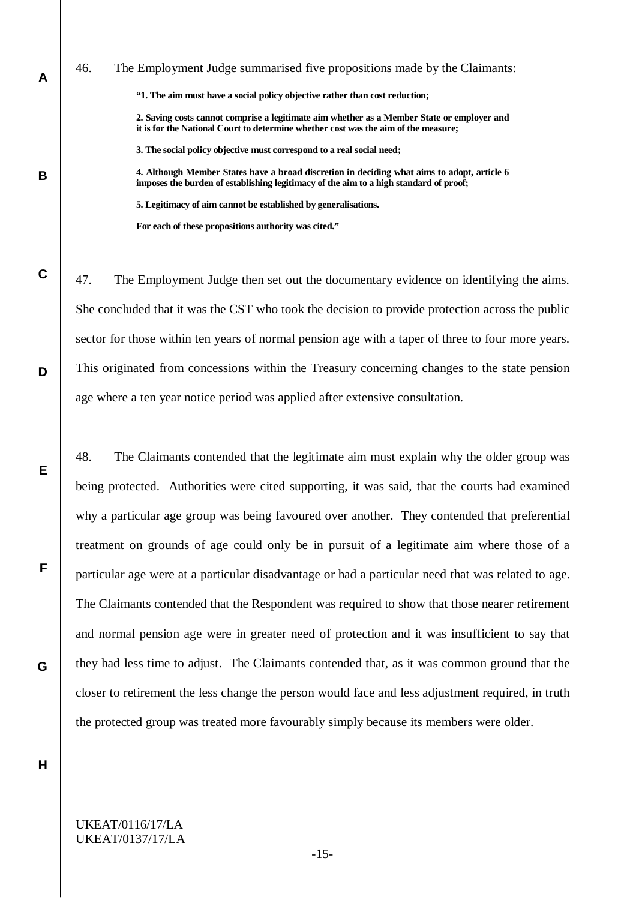46. The Employment Judge summarised five propositions made by the Claimants: **"1. The aim must have a social policy objective rather than cost reduction; 2. Saving costs cannot comprise a legitimate aim whether as a Member State or employer and it is for the National Court to determine whether cost was the aim of the measure; 3. The social policy objective must correspond to a real social need;**

**4. Although Member States have a broad discretion in deciding what aims to adopt, article 6 imposes the burden of establishing legitimacy of the aim to a high standard of proof;**

**5. Legitimacy of aim cannot be established by generalisations.** 

**For each of these propositions authority was cited."**

47. The Employment Judge then set out the documentary evidence on identifying the aims. She concluded that it was the CST who took the decision to provide protection across the public sector for those within ten years of normal pension age with a taper of three to four more years. This originated from concessions within the Treasury concerning changes to the state pension age where a ten year notice period was applied after extensive consultation.

48. The Claimants contended that the legitimate aim must explain why the older group was being protected. Authorities were cited supporting, it was said, that the courts had examined why a particular age group was being favoured over another. They contended that preferential treatment on grounds of age could only be in pursuit of a legitimate aim where those of a particular age were at a particular disadvantage or had a particular need that was related to age. The Claimants contended that the Respondent was required to show that those nearer retirement and normal pension age were in greater need of protection and it was insufficient to say that they had less time to adjust. The Claimants contended that, as it was common ground that the closer to retirement the less change the person would face and less adjustment required, in truth the protected group was treated more favourably simply because its members were older.

**H**

**A**

**B**

**C**

**D**

**E**

**F**

**G**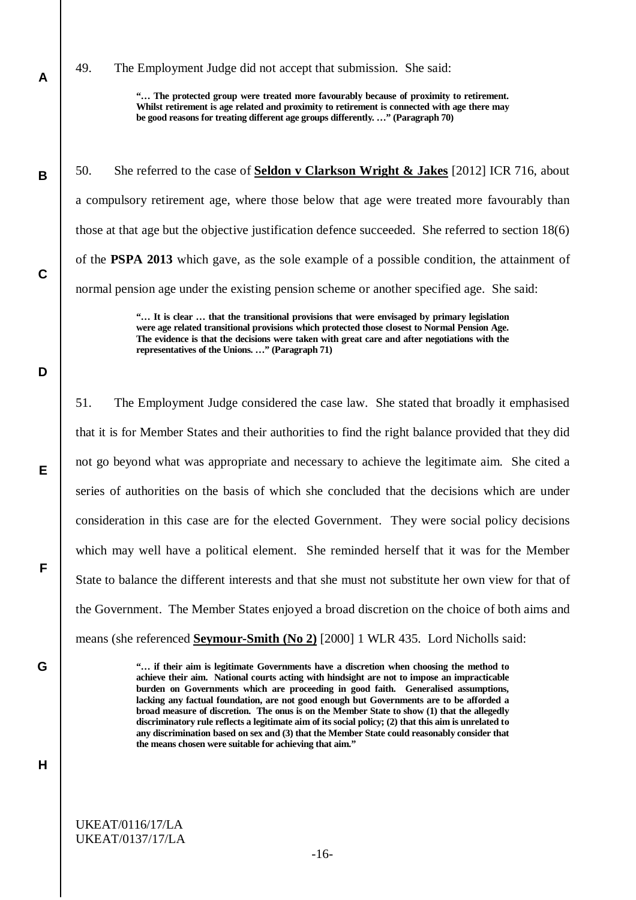49. The Employment Judge did not accept that submission. She said:

**A**

**B**

**C**

**D**

**E**

**F**

**G**

**H**

**"… The protected group were treated more favourably because of proximity to retirement. Whilst retirement is age related and proximity to retirement is connected with age there may be good reasons for treating different age groups differently. …" (Paragraph 70)**

50. She referred to the case of **Seldon v Clarkson Wright & Jakes** [2012] ICR 716, about a compulsory retirement age, where those below that age were treated more favourably than those at that age but the objective justification defence succeeded. She referred to section 18(6) of the **PSPA 2013** which gave, as the sole example of a possible condition, the attainment of normal pension age under the existing pension scheme or another specified age. She said:

> **"… It is clear … that the transitional provisions that were envisaged by primary legislation were age related transitional provisions which protected those closest to Normal Pension Age. The evidence is that the decisions were taken with great care and after negotiations with the representatives of the Unions. …" (Paragraph 71)**

51. The Employment Judge considered the case law. She stated that broadly it emphasised that it is for Member States and their authorities to find the right balance provided that they did not go beyond what was appropriate and necessary to achieve the legitimate aim. She cited a series of authorities on the basis of which she concluded that the decisions which are under consideration in this case are for the elected Government. They were social policy decisions which may well have a political element. She reminded herself that it was for the Member State to balance the different interests and that she must not substitute her own view for that of the Government. The Member States enjoyed a broad discretion on the choice of both aims and means (she referenced **Seymour-Smith (No 2)** [2000] 1 WLR 435. Lord Nicholls said:

> **"… if their aim is legitimate Governments have a discretion when choosing the method to achieve their aim. National courts acting with hindsight are not to impose an impracticable burden on Governments which are proceeding in good faith. Generalised assumptions, lacking any factual foundation, are not good enough but Governments are to be afforded a broad measure of discretion. The onus is on the Member State to show (1) that the allegedly discriminatory rule reflects a legitimate aim of its social policy; (2) that this aim is unrelated to any discrimination based on sex and (3) that the Member State could reasonably consider that the means chosen were suitable for achieving that aim."**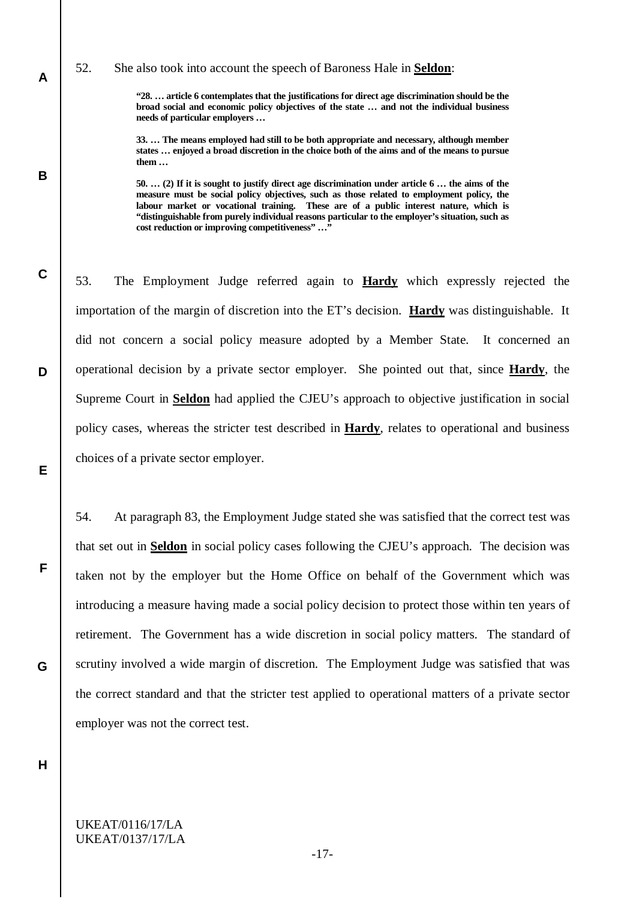52. She also took into account the speech of Baroness Hale in **Seldon**:

**"28. … article 6 contemplates that the justifications for direct age discrimination should be the broad social and economic policy objectives of the state … and not the individual business needs of particular employers …** 

**33. … The means employed had still to be both appropriate and necessary, although member states … enjoyed a broad discretion in the choice both of the aims and of the means to pursue them …** 

**50. … (2) If it is sought to justify direct age discrimination under article 6 … the aims of the measure must be social policy objectives, such as those related to employment policy, the labour market or vocational training. These are of a public interest nature, which is "distinguishable from purely individual reasons particular to the employer's situation, such as cost reduction or improving competitiveness" …"**

53. The Employment Judge referred again to **Hardy** which expressly rejected the importation of the margin of discretion into the ET's decision. **Hardy** was distinguishable. It did not concern a social policy measure adopted by a Member State. It concerned an operational decision by a private sector employer. She pointed out that, since **Hardy**, the Supreme Court in **Seldon** had applied the CJEU's approach to objective justification in social policy cases, whereas the stricter test described in **Hardy**, relates to operational and business choices of a private sector employer.

54. At paragraph 83, the Employment Judge stated she was satisfied that the correct test was that set out in **Seldon** in social policy cases following the CJEU's approach. The decision was taken not by the employer but the Home Office on behalf of the Government which was introducing a measure having made a social policy decision to protect those within ten years of retirement. The Government has a wide discretion in social policy matters. The standard of scrutiny involved a wide margin of discretion. The Employment Judge was satisfied that was the correct standard and that the stricter test applied to operational matters of a private sector employer was not the correct test.

**H**

**A**

**B**

**C**

**D**

**E**

**F**

**G**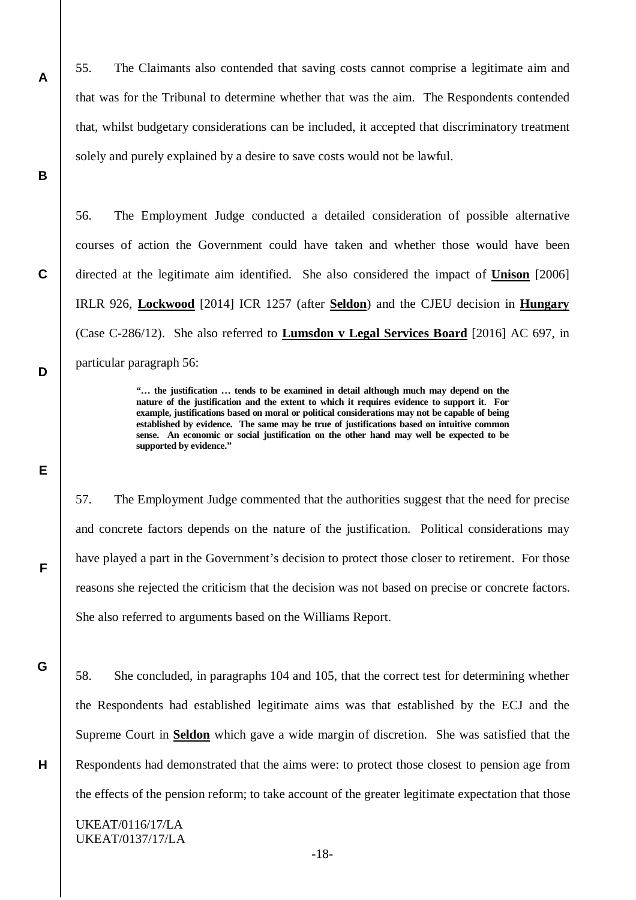55. The Claimants also contended that saving costs cannot comprise a legitimate aim and that was for the Tribunal to determine whether that was the aim. The Respondents contended that, whilst budgetary considerations can be included, it accepted that discriminatory treatment solely and purely explained by a desire to save costs would not be lawful.

56. The Employment Judge conducted a detailed consideration of possible alternative courses of action the Government could have taken and whether those would have been directed at the legitimate aim identified. She also considered the impact of **Unison** [2006] IRLR 926, **Lockwood** [2014] ICR 1257 (after **Seldon**) and the CJEU decision in **Hungary** (Case C-286/12). She also referred to **Lumsdon v Legal Services Board** [2016] AC 697, in particular paragraph 56:

> **"… the justification … tends to be examined in detail although much may depend on the nature of the justification and the extent to which it requires evidence to support it. For example, justifications based on moral or political considerations may not be capable of being established by evidence. The same may be true of justifications based on intuitive common sense. An economic or social justification on the other hand may well be expected to be supported by evidence."**

57. The Employment Judge commented that the authorities suggest that the need for precise and concrete factors depends on the nature of the justification. Political considerations may have played a part in the Government's decision to protect those closer to retirement. For those reasons she rejected the criticism that the decision was not based on precise or concrete factors. She also referred to arguments based on the Williams Report.

58. She concluded, in paragraphs 104 and 105, that the correct test for determining whether the Respondents had established legitimate aims was that established by the ECJ and the Supreme Court in **Seldon** which gave a wide margin of discretion. She was satisfied that the Respondents had demonstrated that the aims were: to protect those closest to pension age from the effects of the pension reform; to take account of the greater legitimate expectation that those

UKEAT/0116/17/LA UKEAT/0137/17/LA

**A**

**B**

**C**

**D**

**E**

**F**

**G**

**H**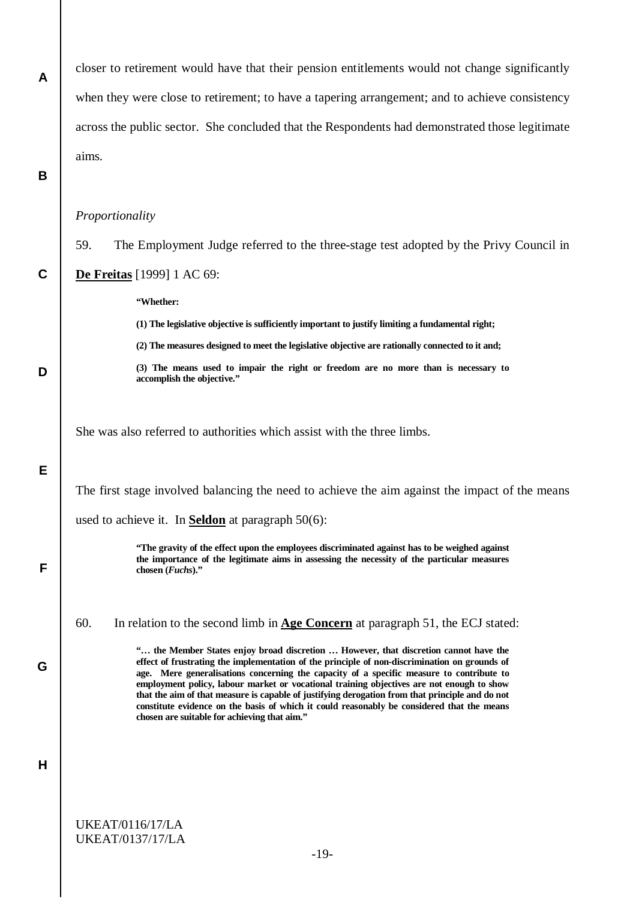UKEAT/0116/17/LA **A B C D E F G H** closer to retirement would have that their pension entitlements would not change significantly when they were close to retirement; to have a tapering arrangement; and to achieve consistency across the public sector. She concluded that the Respondents had demonstrated those legitimate aims. *Proportionality* 59. The Employment Judge referred to the three-stage test adopted by the Privy Council in **De Freitas** [1999] 1 AC 69: **"Whether: (1) The legislative objective is sufficiently important to justify limiting a fundamental right; (2) The measures designed to meet the legislative objective are rationally connected to it and; (3) The means used to impair the right or freedom are no more than is necessary to accomplish the objective."** She was also referred to authorities which assist with the three limbs. The first stage involved balancing the need to achieve the aim against the impact of the means used to achieve it. In **Seldon** at paragraph 50(6): **"The gravity of the effect upon the employees discriminated against has to be weighed against the importance of the legitimate aims in assessing the necessity of the particular measures chosen (***Fuchs***)."** 60. In relation to the second limb in **Age Concern** at paragraph 51, the ECJ stated: **"… the Member States enjoy broad discretion … However, that discretion cannot have the effect of frustrating the implementation of the principle of non-discrimination on grounds of age. Mere generalisations concerning the capacity of a specific measure to contribute to employment policy, labour market or vocational training objectives are not enough to show that the aim of that measure is capable of justifying derogation from that principle and do not constitute evidence on the basis of which it could reasonably be considered that the means chosen are suitable for achieving that aim."**

-19-

UKEAT/0137/17/LA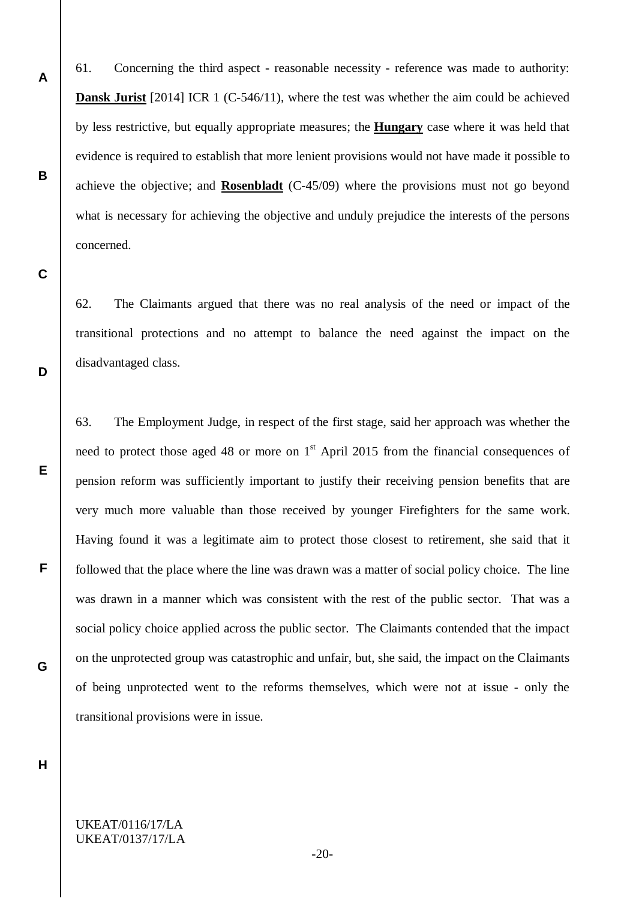61. Concerning the third aspect - reasonable necessity - reference was made to authority: **Dansk Jurist** [2014] ICR 1 (C-546/11), where the test was whether the aim could be achieved by less restrictive, but equally appropriate measures; the **Hungary** case where it was held that evidence is required to establish that more lenient provisions would not have made it possible to achieve the objective; and **Rosenbladt** (C-45/09) where the provisions must not go beyond what is necessary for achieving the objective and unduly prejudice the interests of the persons concerned.

62. The Claimants argued that there was no real analysis of the need or impact of the transitional protections and no attempt to balance the need against the impact on the disadvantaged class.

63. The Employment Judge, in respect of the first stage, said her approach was whether the need to protect those aged 48 or more on  $1<sup>st</sup>$  April 2015 from the financial consequences of pension reform was sufficiently important to justify their receiving pension benefits that are very much more valuable than those received by younger Firefighters for the same work. Having found it was a legitimate aim to protect those closest to retirement, she said that it followed that the place where the line was drawn was a matter of social policy choice. The line was drawn in a manner which was consistent with the rest of the public sector. That was a social policy choice applied across the public sector. The Claimants contended that the impact on the unprotected group was catastrophic and unfair, but, she said, the impact on the Claimants of being unprotected went to the reforms themselves, which were not at issue - only the transitional provisions were in issue.

**H**

**A**

**B**

**C**

**D**

**E**

**F**

**G**

# UKEAT/0116/17/LA UKEAT/0137/17/LA

-20-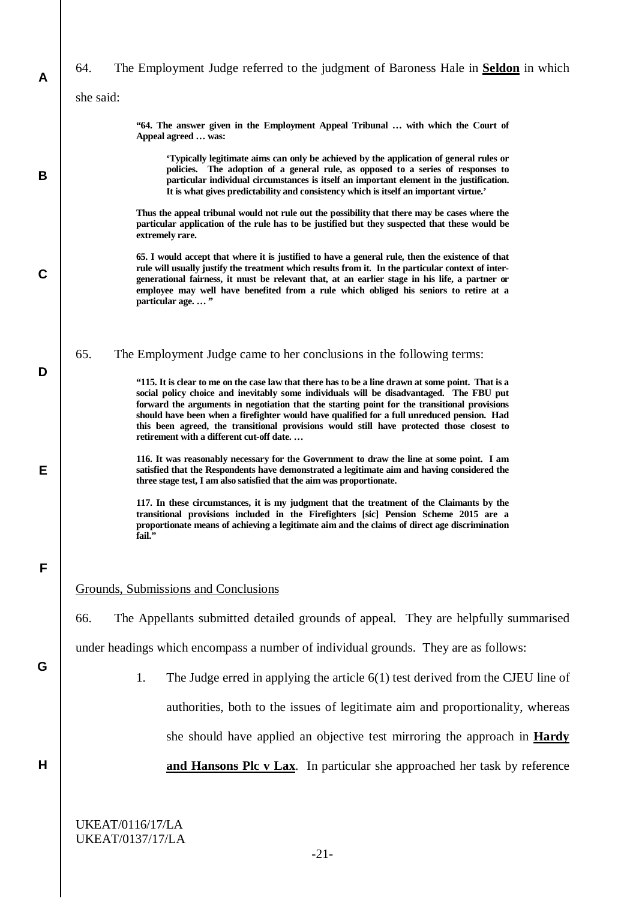| A           | 64.       | The Employment Judge referred to the judgment of Baroness Hale in <b>Seldon</b> in which                                                                                                                                                                                                                                                                                                                                                                                                                                             |
|-------------|-----------|--------------------------------------------------------------------------------------------------------------------------------------------------------------------------------------------------------------------------------------------------------------------------------------------------------------------------------------------------------------------------------------------------------------------------------------------------------------------------------------------------------------------------------------|
|             | she said: |                                                                                                                                                                                                                                                                                                                                                                                                                                                                                                                                      |
|             |           | "64. The answer given in the Employment Appeal Tribunal  with which the Court of<br>Appeal agreed  was:                                                                                                                                                                                                                                                                                                                                                                                                                              |
| B           |           | 'Typically legitimate aims can only be achieved by the application of general rules or<br>policies. The adoption of a general rule, as opposed to a series of responses to<br>particular individual circumstances is itself an important element in the justification.<br>It is what gives predictability and consistency which is itself an important virtue.'                                                                                                                                                                      |
|             |           | Thus the appeal tribunal would not rule out the possibility that there may be cases where the<br>particular application of the rule has to be justified but they suspected that these would be<br>extremely rare.                                                                                                                                                                                                                                                                                                                    |
| $\mathbf C$ |           | 65. I would accept that where it is justified to have a general rule, then the existence of that<br>rule will usually justify the treatment which results from it. In the particular context of inter-<br>generational fairness, it must be relevant that, at an earlier stage in his life, a partner or<br>employee may well have benefited from a rule which obliged his seniors to retire at a<br>particular age. "                                                                                                               |
|             | 65.       | The Employment Judge came to her conclusions in the following terms:                                                                                                                                                                                                                                                                                                                                                                                                                                                                 |
| D           |           | "115. It is clear to me on the case law that there has to be a line drawn at some point. That is a<br>social policy choice and inevitably some individuals will be disadvantaged. The FBU put<br>forward the arguments in negotiation that the starting point for the transitional provisions<br>should have been when a firefighter would have qualified for a full unreduced pension. Had<br>this been agreed, the transitional provisions would still have protected those closest to<br>retirement with a different cut-off date |
| Е           |           | 116. It was reasonably necessary for the Government to draw the line at some point. I am<br>satisfied that the Respondents have demonstrated a legitimate aim and having considered the<br>three stage test, I am also satisfied that the aim was proportionate.                                                                                                                                                                                                                                                                     |
|             |           | 117. In these circumstances, it is my judgment that the treatment of the Claimants by the<br>transitional provisions included in the Firefighters [sic] Pension Scheme 2015 are a<br>proportionate means of achieving a legitimate aim and the claims of direct age discrimination<br>fail."                                                                                                                                                                                                                                         |
| F           |           |                                                                                                                                                                                                                                                                                                                                                                                                                                                                                                                                      |
|             |           | Grounds, Submissions and Conclusions                                                                                                                                                                                                                                                                                                                                                                                                                                                                                                 |
|             | 66.       | The Appellants submitted detailed grounds of appeal. They are helpfully summarised                                                                                                                                                                                                                                                                                                                                                                                                                                                   |
|             |           | under headings which encompass a number of individual grounds. They are as follows:                                                                                                                                                                                                                                                                                                                                                                                                                                                  |
| G           |           | 1.<br>The Judge erred in applying the article $6(1)$ test derived from the CJEU line of                                                                                                                                                                                                                                                                                                                                                                                                                                              |
|             |           | authorities, both to the issues of legitimate aim and proportionality, whereas                                                                                                                                                                                                                                                                                                                                                                                                                                                       |
|             |           | she should have applied an objective test mirroring the approach in <b>Hardy</b>                                                                                                                                                                                                                                                                                                                                                                                                                                                     |
| H           |           | and Hansons Plc v Lax. In particular she approached her task by reference                                                                                                                                                                                                                                                                                                                                                                                                                                                            |
|             |           | <b>UKEAT/0116/17/LA</b>                                                                                                                                                                                                                                                                                                                                                                                                                                                                                                              |

UKEAT/0137/17/LA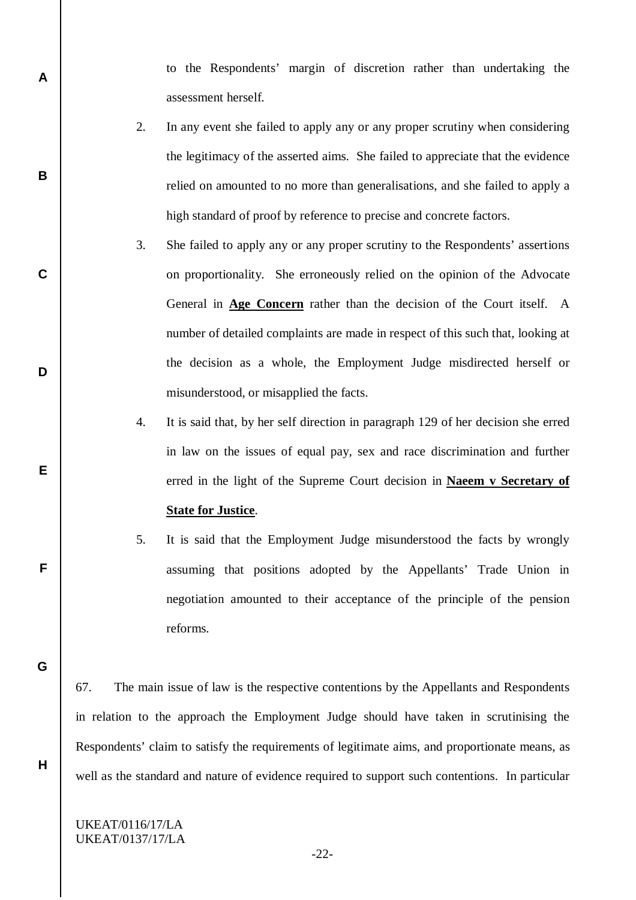to the Respondents' margin of discretion rather than undertaking the assessment herself.

- 2. In any event she failed to apply any or any proper scrutiny when considering the legitimacy of the asserted aims. She failed to appreciate that the evidence relied on amounted to no more than generalisations, and she failed to apply a high standard of proof by reference to precise and concrete factors.
- 3. She failed to apply any or any proper scrutiny to the Respondents' assertions on proportionality. She erroneously relied on the opinion of the Advocate General in **Age Concern** rather than the decision of the Court itself. A number of detailed complaints are made in respect of this such that, looking at the decision as a whole, the Employment Judge misdirected herself or misunderstood, or misapplied the facts.
	- 4. It is said that, by her self direction in paragraph 129 of her decision she erred in law on the issues of equal pay, sex and race discrimination and further erred in the light of the Supreme Court decision in **Naeem v Secretary of**

# **State for Justice**.

5. It is said that the Employment Judge misunderstood the facts by wrongly assuming that positions adopted by the Appellants' Trade Union in negotiation amounted to their acceptance of the principle of the pension reforms.

**G**

**H**

**A**

**B**

**C**

**D**

**E**

**F**

67. The main issue of law is the respective contentions by the Appellants and Respondents in relation to the approach the Employment Judge should have taken in scrutinising the Respondents' claim to satisfy the requirements of legitimate aims, and proportionate means, as well as the standard and nature of evidence required to support such contentions. In particular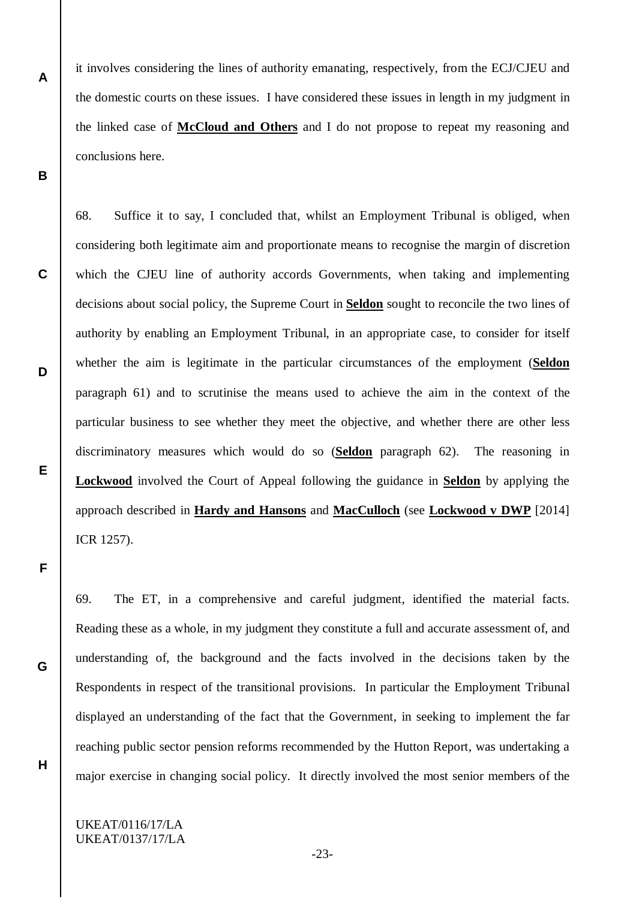it involves considering the lines of authority emanating, respectively, from the ECJ/CJEU and the domestic courts on these issues. I have considered these issues in length in my judgment in the linked case of **McCloud and Others** and I do not propose to repeat my reasoning and conclusions here.

68. Suffice it to say, I concluded that, whilst an Employment Tribunal is obliged, when considering both legitimate aim and proportionate means to recognise the margin of discretion which the CJEU line of authority accords Governments, when taking and implementing decisions about social policy, the Supreme Court in **Seldon** sought to reconcile the two lines of authority by enabling an Employment Tribunal, in an appropriate case, to consider for itself whether the aim is legitimate in the particular circumstances of the employment (**Seldon** paragraph 61) and to scrutinise the means used to achieve the aim in the context of the particular business to see whether they meet the objective, and whether there are other less discriminatory measures which would do so (**Seldon** paragraph 62). The reasoning in **Lockwood** involved the Court of Appeal following the guidance in **Seldon** by applying the approach described in **Hardy and Hansons** and **MacCulloch** (see **Lockwood v DWP** [2014] ICR 1257).

**F**

**E**

**A**

**B**

**C**

**D**

**G**

**H**

69. The ET, in a comprehensive and careful judgment, identified the material facts. Reading these as a whole, in my judgment they constitute a full and accurate assessment of, and understanding of, the background and the facts involved in the decisions taken by the Respondents in respect of the transitional provisions. In particular the Employment Tribunal displayed an understanding of the fact that the Government, in seeking to implement the far reaching public sector pension reforms recommended by the Hutton Report, was undertaking a major exercise in changing social policy. It directly involved the most senior members of the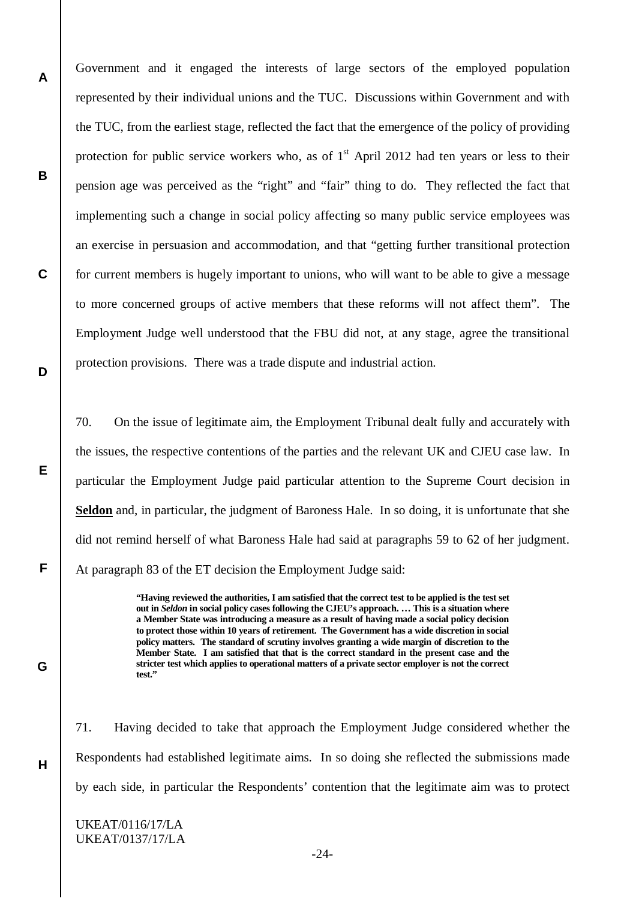Government and it engaged the interests of large sectors of the employed population represented by their individual unions and the TUC. Discussions within Government and with the TUC, from the earliest stage, reflected the fact that the emergence of the policy of providing protection for public service workers who, as of  $1<sup>st</sup>$  April 2012 had ten years or less to their pension age was perceived as the "right" and "fair" thing to do. They reflected the fact that implementing such a change in social policy affecting so many public service employees was an exercise in persuasion and accommodation, and that "getting further transitional protection for current members is hugely important to unions, who will want to be able to give a message to more concerned groups of active members that these reforms will not affect them". The Employment Judge well understood that the FBU did not, at any stage, agree the transitional protection provisions. There was a trade dispute and industrial action.

70. On the issue of legitimate aim, the Employment Tribunal dealt fully and accurately with the issues, the respective contentions of the parties and the relevant UK and CJEU case law. In particular the Employment Judge paid particular attention to the Supreme Court decision in **Seldon** and, in particular, the judgment of Baroness Hale. In so doing, it is unfortunate that she did not remind herself of what Baroness Hale had said at paragraphs 59 to 62 of her judgment. At paragraph 83 of the ET decision the Employment Judge said:

> **"Having reviewed the authorities, I am satisfied that the correct test to be applied is the test set out in** *Seldon* **in social policy cases following the CJEU's approach. … This is a situation where a Member State was introducing a measure as a result of having made a social policy decision to protect those within 10 years of retirement. The Government has a wide discretion in social policy matters. The standard of scrutiny involves granting a wide margin of discretion to the Member State. I am satisfied that that is the correct standard in the present case and the stricter test which applies to operational matters of a private sector employer is not the correct test."**

71. Having decided to take that approach the Employment Judge considered whether the Respondents had established legitimate aims. In so doing she reflected the submissions made by each side, in particular the Respondents' contention that the legitimate aim was to protect

UKEAT/0116/17/LA UKEAT/0137/17/LA

**A**

**B**

**C**

**D**

**E**

**F**

**G**

**H**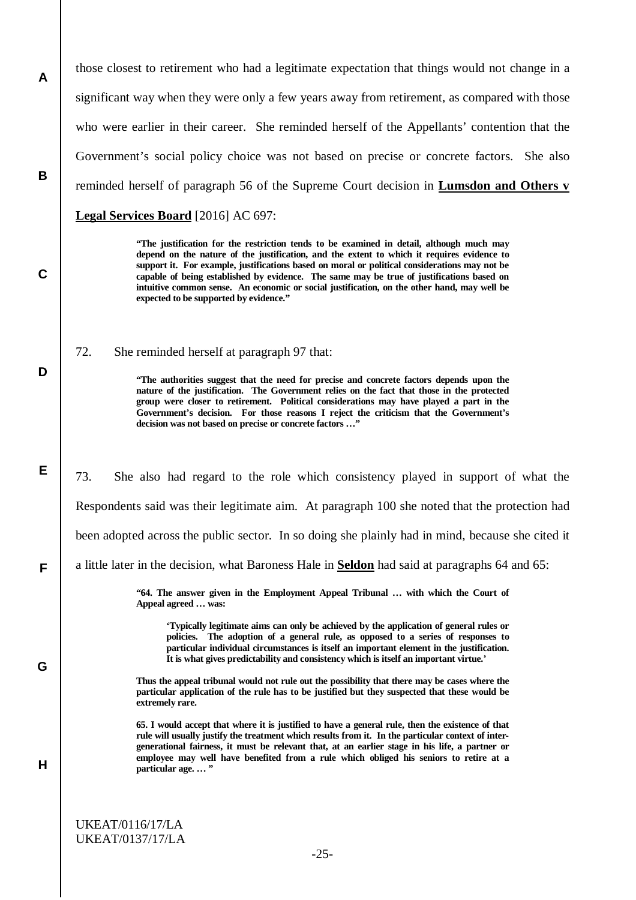those closest to retirement who had a legitimate expectation that things would not change in a significant way when they were only a few years away from retirement, as compared with those who were earlier in their career. She reminded herself of the Appellants' contention that the Government's social policy choice was not based on precise or concrete factors. She also reminded herself of paragraph 56 of the Supreme Court decision in **Lumsdon and Others v Legal Services Board** [2016] AC 697:

> **"The justification for the restriction tends to be examined in detail, although much may depend on the nature of the justification, and the extent to which it requires evidence to support it. For example, justifications based on moral or political considerations may not be capable of being established by evidence. The same may be true of justifications based on intuitive common sense. An economic or social justification, on the other hand, may well be expected to be supported by evidence."**

72. She reminded herself at paragraph 97 that:

**A**

**B**

**C**

**D**

**E**

**F**

**G**

**H**

**"The authorities suggest that the need for precise and concrete factors depends upon the nature of the justification. The Government relies on the fact that those in the protected group were closer to retirement. Political considerations may have played a part in the Government's decision. For those reasons I reject the criticism that the Government's decision was not based on precise or concrete factors …"**

73. She also had regard to the role which consistency played in support of what the Respondents said was their legitimate aim. At paragraph 100 she noted that the protection had been adopted across the public sector. In so doing she plainly had in mind, because she cited it a little later in the decision, what Baroness Hale in **Seldon** had said at paragraphs 64 and 65:

> **"64. The answer given in the Employment Appeal Tribunal … with which the Court of Appeal agreed … was:**

**'Typically legitimate aims can only be achieved by the application of general rules or policies. The adoption of a general rule, as opposed to a series of responses to particular individual circumstances is itself an important element in the justification. It is what gives predictability and consistency which is itself an important virtue.'**

**Thus the appeal tribunal would not rule out the possibility that there may be cases where the particular application of the rule has to be justified but they suspected that these would be extremely rare.**

**65. I would accept that where it is justified to have a general rule, then the existence of that rule will usually justify the treatment which results from it. In the particular context of intergenerational fairness, it must be relevant that, at an earlier stage in his life, a partner or employee may well have benefited from a rule which obliged his seniors to retire at a particular age. … "**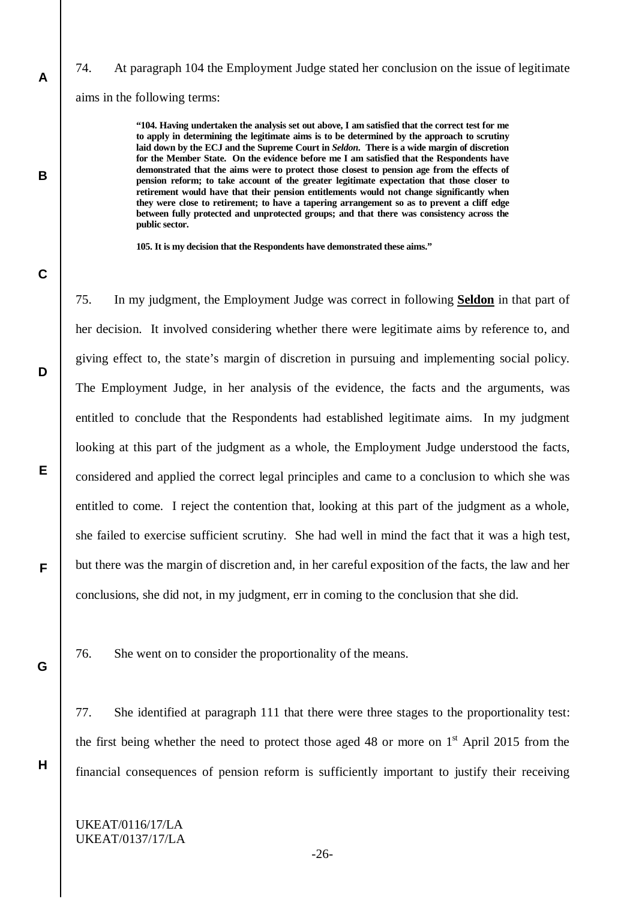**A**

**B**

**C**

**D**

**E**

**F**

**G**

**H**

#### 74. At paragraph 104 the Employment Judge stated her conclusion on the issue of legitimate

aims in the following terms:

**"104. Having undertaken the analysis set out above, I am satisfied that the correct test for me to apply in determining the legitimate aims is to be determined by the approach to scrutiny laid down by the ECJ and the Supreme Court in** *Seldon***. There is a wide margin of discretion for the Member State. On the evidence before me I am satisfied that the Respondents have demonstrated that the aims were to protect those closest to pension age from the effects of pension reform; to take account of the greater legitimate expectation that those closer to retirement would have that their pension entitlements would not change significantly when they were close to retirement; to have a tapering arrangement so as to prevent a cliff edge between fully protected and unprotected groups; and that there was consistency across the public sector.** 

**105. It is my decision that the Respondents have demonstrated these aims."**

75. In my judgment, the Employment Judge was correct in following **Seldon** in that part of her decision. It involved considering whether there were legitimate aims by reference to, and giving effect to, the state's margin of discretion in pursuing and implementing social policy. The Employment Judge, in her analysis of the evidence, the facts and the arguments, was entitled to conclude that the Respondents had established legitimate aims. In my judgment looking at this part of the judgment as a whole, the Employment Judge understood the facts, considered and applied the correct legal principles and came to a conclusion to which she was entitled to come. I reject the contention that, looking at this part of the judgment as a whole, she failed to exercise sufficient scrutiny. She had well in mind the fact that it was a high test, but there was the margin of discretion and, in her careful exposition of the facts, the law and her conclusions, she did not, in my judgment, err in coming to the conclusion that she did.

76. She went on to consider the proportionality of the means.

77. She identified at paragraph 111 that there were three stages to the proportionality test: the first being whether the need to protect those aged 48 or more on  $1<sup>st</sup>$  April 2015 from the financial consequences of pension reform is sufficiently important to justify their receiving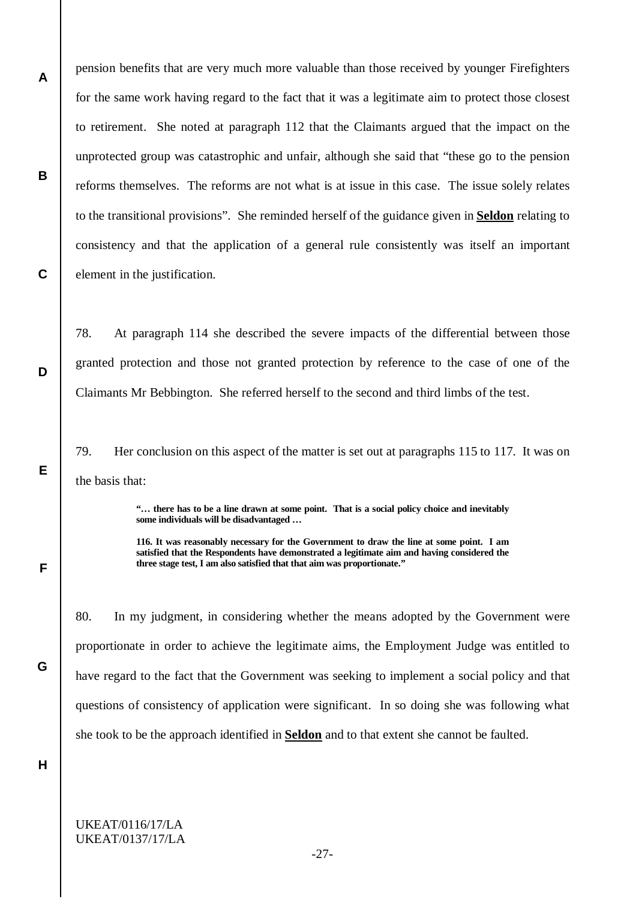pension benefits that are very much more valuable than those received by younger Firefighters for the same work having regard to the fact that it was a legitimate aim to protect those closest to retirement. She noted at paragraph 112 that the Claimants argued that the impact on the unprotected group was catastrophic and unfair, although she said that "these go to the pension reforms themselves. The reforms are not what is at issue in this case. The issue solely relates to the transitional provisions". She reminded herself of the guidance given in **Seldon** relating to consistency and that the application of a general rule consistently was itself an important element in the justification.

78. At paragraph 114 she described the severe impacts of the differential between those granted protection and those not granted protection by reference to the case of one of the Claimants Mr Bebbington. She referred herself to the second and third limbs of the test.

79. Her conclusion on this aspect of the matter is set out at paragraphs 115 to 117. It was on the basis that:

> **"… there has to be a line drawn at some point. That is a social policy choice and inevitably some individuals will be disadvantaged …**

> **116. It was reasonably necessary for the Government to draw the line at some point. I am satisfied that the Respondents have demonstrated a legitimate aim and having considered the three stage test, I am also satisfied that that aim was proportionate."**

80. In my judgment, in considering whether the means adopted by the Government were proportionate in order to achieve the legitimate aims, the Employment Judge was entitled to have regard to the fact that the Government was seeking to implement a social policy and that questions of consistency of application were significant. In so doing she was following what she took to be the approach identified in **Seldon** and to that extent she cannot be faulted.

**H**

**A**

**B**

**C**

**D**

**E**

**F**

**G**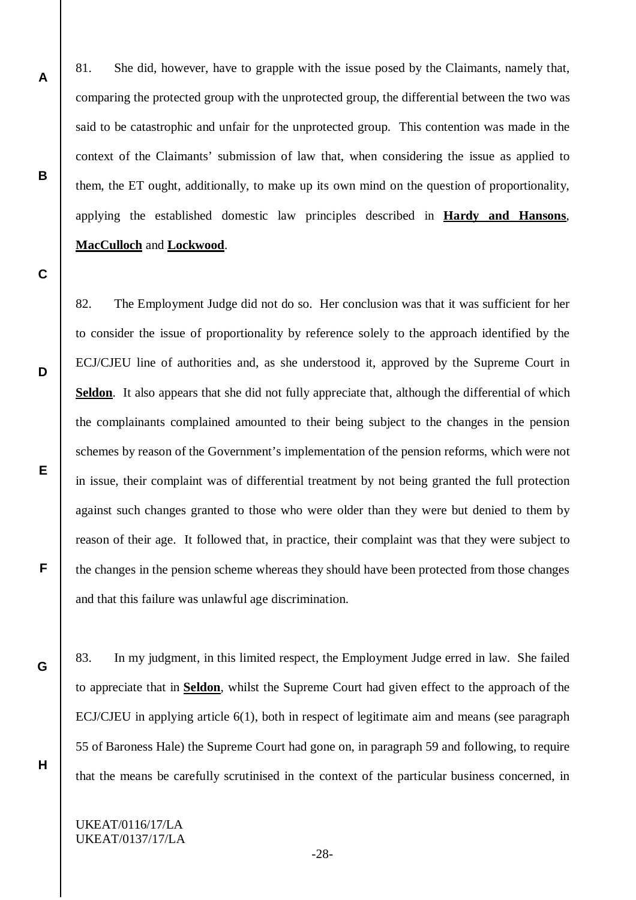81. She did, however, have to grapple with the issue posed by the Claimants, namely that, comparing the protected group with the unprotected group, the differential between the two was said to be catastrophic and unfair for the unprotected group. This contention was made in the context of the Claimants' submission of law that, when considering the issue as applied to them, the ET ought, additionally, to make up its own mind on the question of proportionality, applying the established domestic law principles described in **Hardy and Hansons**, **MacCulloch** and **Lockwood**.

82. The Employment Judge did not do so. Her conclusion was that it was sufficient for her to consider the issue of proportionality by reference solely to the approach identified by the ECJ/CJEU line of authorities and, as she understood it, approved by the Supreme Court in **Seldon**. It also appears that she did not fully appreciate that, although the differential of which the complainants complained amounted to their being subject to the changes in the pension schemes by reason of the Government's implementation of the pension reforms, which were not in issue, their complaint was of differential treatment by not being granted the full protection against such changes granted to those who were older than they were but denied to them by reason of their age. It followed that, in practice, their complaint was that they were subject to the changes in the pension scheme whereas they should have been protected from those changes and that this failure was unlawful age discrimination.

83. In my judgment, in this limited respect, the Employment Judge erred in law. She failed to appreciate that in **Seldon**, whilst the Supreme Court had given effect to the approach of the ECJ/CJEU in applying article 6(1), both in respect of legitimate aim and means (see paragraph 55 of Baroness Hale) the Supreme Court had gone on, in paragraph 59 and following, to require that the means be carefully scrutinised in the context of the particular business concerned, in

UKEAT/0116/17/LA UKEAT/0137/17/LA

**A**

**B**

**C**

**D**

**E**

**F**

**G**

**H**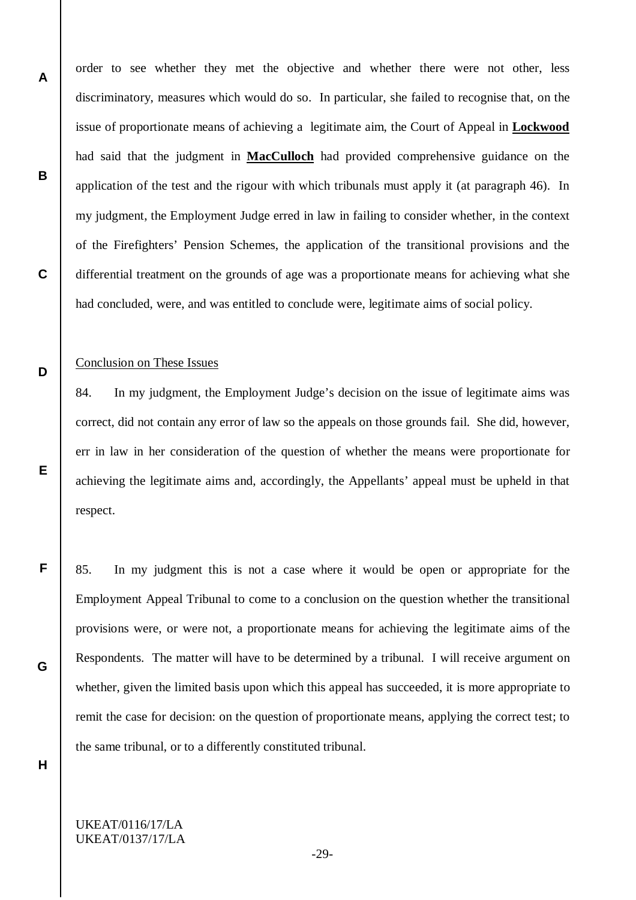order to see whether they met the objective and whether there were not other, less discriminatory, measures which would do so. In particular, she failed to recognise that, on the issue of proportionate means of achieving a legitimate aim, the Court of Appeal in **Lockwood** had said that the judgment in **MacCulloch** had provided comprehensive guidance on the application of the test and the rigour with which tribunals must apply it (at paragraph 46). In my judgment, the Employment Judge erred in law in failing to consider whether, in the context of the Firefighters' Pension Schemes, the application of the transitional provisions and the differential treatment on the grounds of age was a proportionate means for achieving what she had concluded, were, and was entitled to conclude were, legitimate aims of social policy.

#### Conclusion on These Issues

84. In my judgment, the Employment Judge's decision on the issue of legitimate aims was correct, did not contain any error of law so the appeals on those grounds fail. She did, however, err in law in her consideration of the question of whether the means were proportionate for achieving the legitimate aims and, accordingly, the Appellants' appeal must be upheld in that respect.

85. In my judgment this is not a case where it would be open or appropriate for the Employment Appeal Tribunal to come to a conclusion on the question whether the transitional provisions were, or were not, a proportionate means for achieving the legitimate aims of the Respondents. The matter will have to be determined by a tribunal. I will receive argument on whether, given the limited basis upon which this appeal has succeeded, it is more appropriate to remit the case for decision: on the question of proportionate means, applying the correct test; to the same tribunal, or to a differently constituted tribunal.

**H**

**A**

**B**

**C**

**D**

**E**

**F**

**G**

# UKEAT/0116/17/LA UKEAT/0137/17/LA

-29-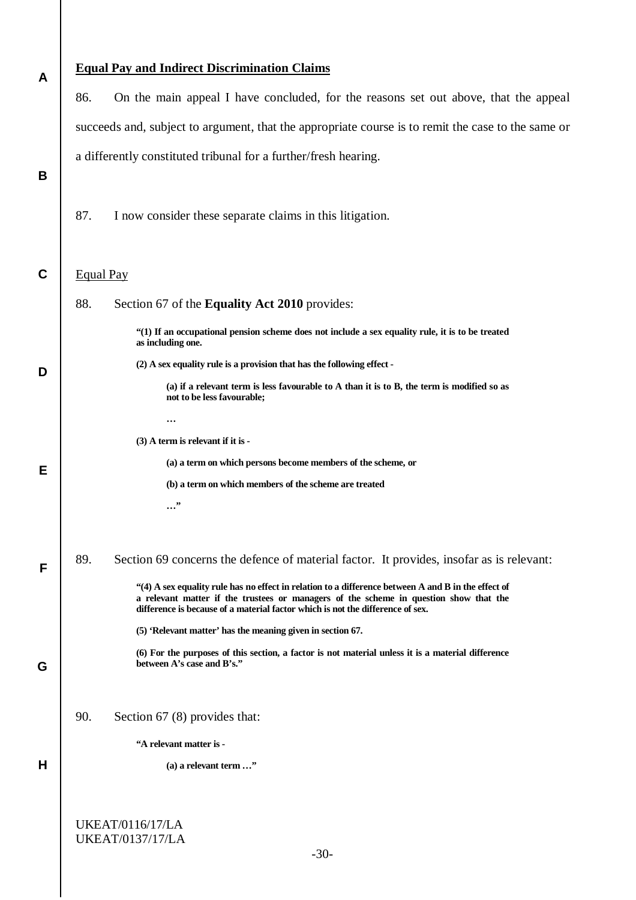| A           | <b>Equal Pay and Indirect Discrimination Claims</b>             |                                                                                                                                                                                                                                                                                |  |  |  |
|-------------|-----------------------------------------------------------------|--------------------------------------------------------------------------------------------------------------------------------------------------------------------------------------------------------------------------------------------------------------------------------|--|--|--|
|             | 86.                                                             | On the main appeal I have concluded, for the reasons set out above, that the appeal                                                                                                                                                                                            |  |  |  |
|             |                                                                 | succeeds and, subject to argument, that the appropriate course is to remit the case to the same or                                                                                                                                                                             |  |  |  |
| B           | a differently constituted tribunal for a further/fresh hearing. |                                                                                                                                                                                                                                                                                |  |  |  |
|             | 87.                                                             | I now consider these separate claims in this litigation.                                                                                                                                                                                                                       |  |  |  |
| $\mathbf C$ | <b>Equal Pay</b>                                                |                                                                                                                                                                                                                                                                                |  |  |  |
|             | 88.                                                             | Section 67 of the Equality Act 2010 provides:                                                                                                                                                                                                                                  |  |  |  |
|             |                                                                 | "(1) If an occupational pension scheme does not include a sex equality rule, it is to be treated<br>as including one.                                                                                                                                                          |  |  |  |
| D           |                                                                 | (2) A sex equality rule is a provision that has the following effect -                                                                                                                                                                                                         |  |  |  |
|             |                                                                 | (a) if a relevant term is less favourable to A than it is to B, the term is modified so as<br>not to be less favourable;                                                                                                                                                       |  |  |  |
|             |                                                                 | $\ddotsc$                                                                                                                                                                                                                                                                      |  |  |  |
|             |                                                                 | (3) A term is relevant if it is -                                                                                                                                                                                                                                              |  |  |  |
| Е           |                                                                 | (a) a term on which persons become members of the scheme, or<br>(b) a term on which members of the scheme are treated                                                                                                                                                          |  |  |  |
|             |                                                                 | "                                                                                                                                                                                                                                                                              |  |  |  |
|             |                                                                 |                                                                                                                                                                                                                                                                                |  |  |  |
| F           | 89.                                                             | Section 69 concerns the defence of material factor. It provides, insofar as is relevant:                                                                                                                                                                                       |  |  |  |
|             |                                                                 | "(4) A sex equality rule has no effect in relation to a difference between A and B in the effect of<br>a relevant matter if the trustees or managers of the scheme in question show that the<br>difference is because of a material factor which is not the difference of sex. |  |  |  |
|             |                                                                 | (5) 'Relevant matter' has the meaning given in section 67.                                                                                                                                                                                                                     |  |  |  |
| G           |                                                                 | (6) For the purposes of this section, a factor is not material unless it is a material difference<br>between A's case and B's."                                                                                                                                                |  |  |  |
|             |                                                                 |                                                                                                                                                                                                                                                                                |  |  |  |
|             | 90.                                                             | Section $67(8)$ provides that:                                                                                                                                                                                                                                                 |  |  |  |
| Н           | "A relevant matter is -<br>(a) a relevant term "                |                                                                                                                                                                                                                                                                                |  |  |  |
|             |                                                                 |                                                                                                                                                                                                                                                                                |  |  |  |
|             |                                                                 | <b>UKEAT/0116/17/LA</b>                                                                                                                                                                                                                                                        |  |  |  |
|             |                                                                 | <b>UKEAT/0137/17/LA</b><br>$-30-$                                                                                                                                                                                                                                              |  |  |  |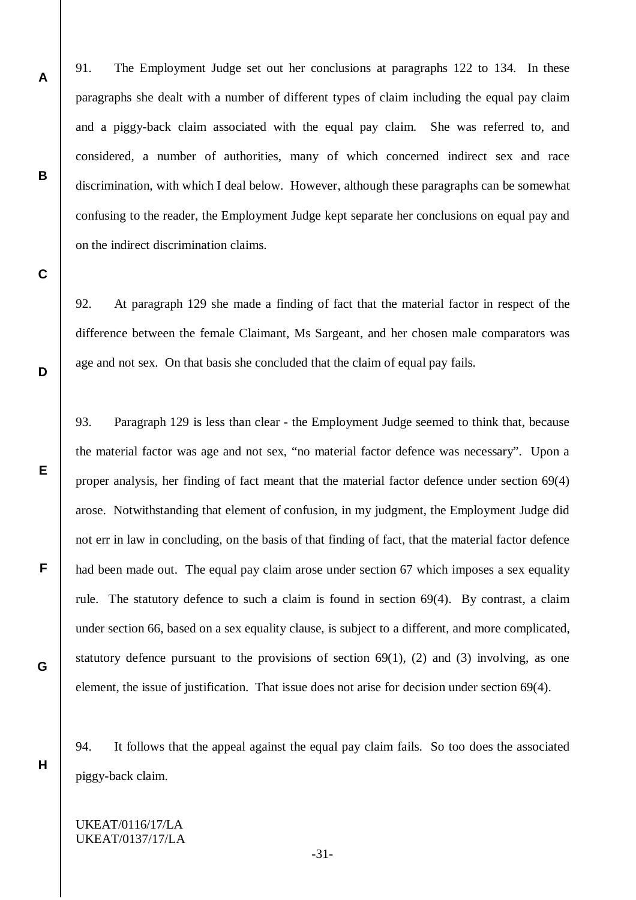91. The Employment Judge set out her conclusions at paragraphs 122 to 134. In these paragraphs she dealt with a number of different types of claim including the equal pay claim and a piggy-back claim associated with the equal pay claim. She was referred to, and considered, a number of authorities, many of which concerned indirect sex and race discrimination, with which I deal below. However, although these paragraphs can be somewhat confusing to the reader, the Employment Judge kept separate her conclusions on equal pay and on the indirect discrimination claims.

92. At paragraph 129 she made a finding of fact that the material factor in respect of the difference between the female Claimant, Ms Sargeant, and her chosen male comparators was age and not sex. On that basis she concluded that the claim of equal pay fails.

93. Paragraph 129 is less than clear - the Employment Judge seemed to think that, because the material factor was age and not sex, "no material factor defence was necessary". Upon a proper analysis, her finding of fact meant that the material factor defence under section 69(4) arose. Notwithstanding that element of confusion, in my judgment, the Employment Judge did not err in law in concluding, on the basis of that finding of fact, that the material factor defence had been made out. The equal pay claim arose under section 67 which imposes a sex equality rule. The statutory defence to such a claim is found in section 69(4). By contrast, a claim under section 66, based on a sex equality clause, is subject to a different, and more complicated, statutory defence pursuant to the provisions of section  $69(1)$ , (2) and (3) involving, as one element, the issue of justification. That issue does not arise for decision under section 69(4).

94. It follows that the appeal against the equal pay claim fails. So too does the associated piggy-back claim.

UKEAT/0116/17/LA UKEAT/0137/17/LA

**A**

**B**

**C**

**D**

**E**

**F**

**G**

**H**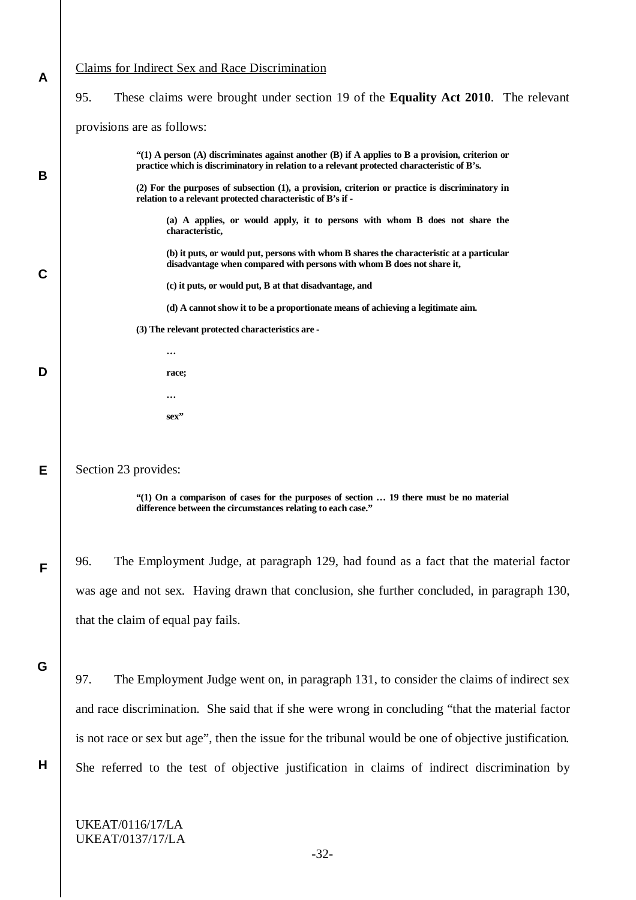# Claims for Indirect Sex and Race Discrimination 95. These claims were brought under section 19 of the **Equality Act 2010**. The relevant provisions are as follows: **"(1) A person (A) discriminates against another (B) if A applies to B a provision, criterion or practice which is discriminatory in relation to a relevant protected characteristic of B's. (2) For the purposes of subsection (1), a provision, criterion or practice is discriminatory in relation to a relevant protected characteristic of B's if - (a) A applies, or would apply, it to persons with whom B does not share the characteristic, (b) it puts, or would put, persons with whom B shares the characteristic at a particular disadvantage when compared with persons with whom B does not share it, (c) it puts, or would put, B at that disadvantage, and (d) A cannot show it to be a proportionate means of achieving a legitimate aim. (3) The relevant protected characteristics are - … race; … sex"** Section 23 provides: **"(1) On a comparison of cases for the purposes of section … 19 there must be no material difference between the circumstances relating to each case."** 96. The Employment Judge, at paragraph 129, had found as a fact that the material factor was age and not sex. Having drawn that conclusion, she further concluded, in paragraph 130, that the claim of equal pay fails. 97. The Employment Judge went on, in paragraph 131, to consider the claims of indirect sex and race discrimination. She said that if she were wrong in concluding "that the material factor

**H**

**A**

**B**

**C**

**D**

**E**

**F**

**G**

UKEAT/0116/17/LA UKEAT/0137/17/LA

is not race or sex but age", then the issue for the tribunal would be one of objective justification.

She referred to the test of objective justification in claims of indirect discrimination by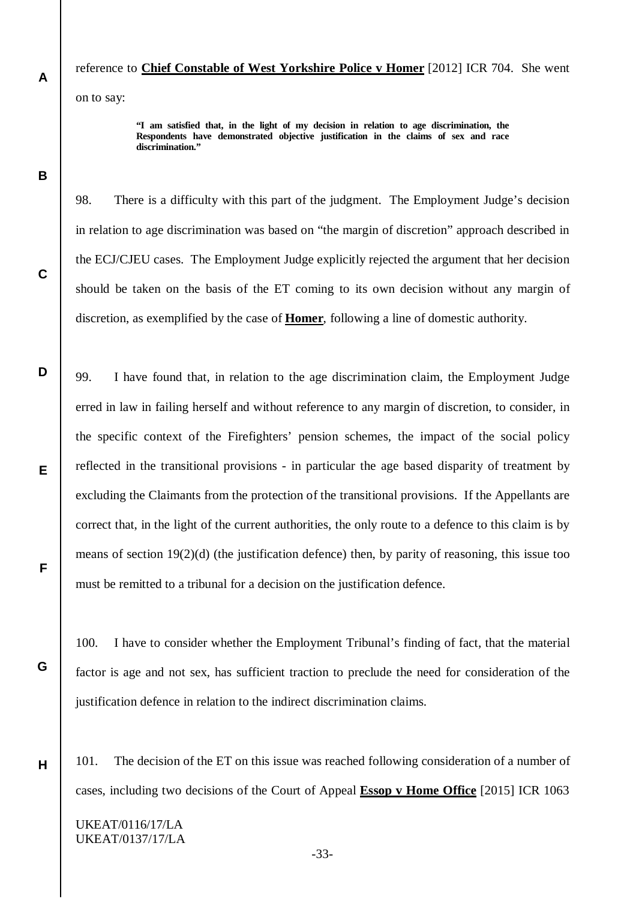reference to **Chief Constable of West Yorkshire Police v Homer** [2012] ICR 704. She went on to say:

> **"I am satisfied that, in the light of my decision in relation to age discrimination, the Respondents have demonstrated objective justification in the claims of sex and race discrimination."**

98. There is a difficulty with this part of the judgment. The Employment Judge's decision in relation to age discrimination was based on "the margin of discretion" approach described in the ECJ/CJEU cases. The Employment Judge explicitly rejected the argument that her decision should be taken on the basis of the ET coming to its own decision without any margin of discretion, as exemplified by the case of **Homer**, following a line of domestic authority.

99. I have found that, in relation to the age discrimination claim, the Employment Judge erred in law in failing herself and without reference to any margin of discretion, to consider, in the specific context of the Firefighters' pension schemes, the impact of the social policy reflected in the transitional provisions - in particular the age based disparity of treatment by excluding the Claimants from the protection of the transitional provisions. If the Appellants are correct that, in the light of the current authorities, the only route to a defence to this claim is by means of section 19(2)(d) (the justification defence) then, by parity of reasoning, this issue too must be remitted to a tribunal for a decision on the justification defence.

100. I have to consider whether the Employment Tribunal's finding of fact, that the material factor is age and not sex, has sufficient traction to preclude the need for consideration of the justification defence in relation to the indirect discrimination claims.

101. The decision of the ET on this issue was reached following consideration of a number of cases, including two decisions of the Court of Appeal **Essop v Home Office** [2015] ICR 1063

UKEAT/0116/17/LA UKEAT/0137/17/LA

**A**

**B**

**C**

**D**

**E**

**F**

**G**

**H**

-33-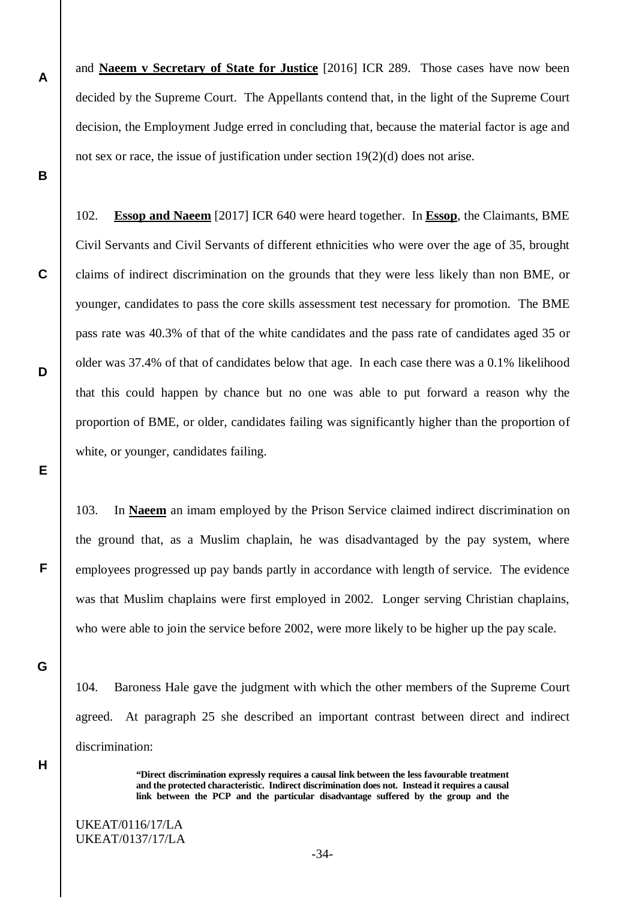and **Naeem v Secretary of State for Justice** [2016] ICR 289. Those cases have now been decided by the Supreme Court. The Appellants contend that, in the light of the Supreme Court decision, the Employment Judge erred in concluding that, because the material factor is age and not sex or race, the issue of justification under section 19(2)(d) does not arise.

102. **Essop and Naeem** [2017] ICR 640 were heard together. In **Essop**, the Claimants, BME Civil Servants and Civil Servants of different ethnicities who were over the age of 35, brought claims of indirect discrimination on the grounds that they were less likely than non BME, or younger, candidates to pass the core skills assessment test necessary for promotion. The BME pass rate was 40.3% of that of the white candidates and the pass rate of candidates aged 35 or older was 37.4% of that of candidates below that age. In each case there was a 0.1% likelihood that this could happen by chance but no one was able to put forward a reason why the proportion of BME, or older, candidates failing was significantly higher than the proportion of white, or younger, candidates failing.

103. In **Naeem** an imam employed by the Prison Service claimed indirect discrimination on the ground that, as a Muslim chaplain, he was disadvantaged by the pay system, where employees progressed up pay bands partly in accordance with length of service. The evidence was that Muslim chaplains were first employed in 2002. Longer serving Christian chaplains, who were able to join the service before 2002, were more likely to be higher up the pay scale.

104. Baroness Hale gave the judgment with which the other members of the Supreme Court agreed. At paragraph 25 she described an important contrast between direct and indirect discrimination:

> **"Direct discrimination expressly requires a causal link between the less favourable treatment and the protected characteristic. Indirect discrimination does not. Instead it requires a causal link between the PCP and the particular disadvantage suffered by the group and the**

UKEAT/0116/17/LA UKEAT/0137/17/LA

**A**

**B**

**C**

**D**

**E**

**F**

**G**

**H**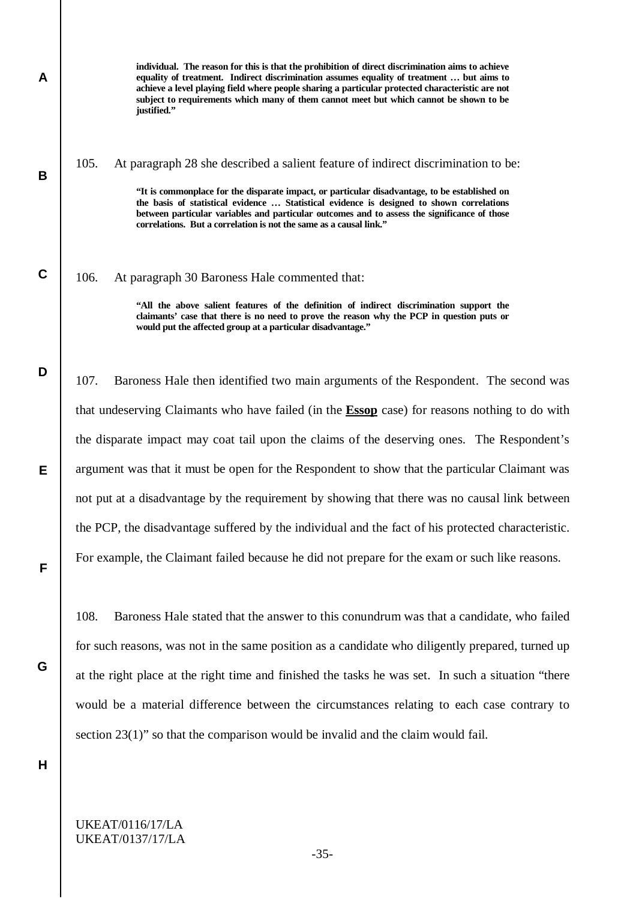**individual. The reason for this is that the prohibition of direct discrimination aims to achieve equality of treatment. Indirect discrimination assumes equality of treatment … but aims to achieve a level playing field where people sharing a particular protected characteristic are not subject to requirements which many of them cannot meet but which cannot be shown to be justified."**

105. At paragraph 28 she described a salient feature of indirect discrimination to be:

**"It is commonplace for the disparate impact, or particular disadvantage, to be established on the basis of statistical evidence … Statistical evidence is designed to shown correlations between particular variables and particular outcomes and to assess the significance of those correlations. But a correlation is not the same as a causal link."**

#### 106. At paragraph 30 Baroness Hale commented that:

**"All the above salient features of the definition of indirect discrimination support the claimants' case that there is no need to prove the reason why the PCP in question puts or would put the affected group at a particular disadvantage."**

107. Baroness Hale then identified two main arguments of the Respondent. The second was that undeserving Claimants who have failed (in the **Essop** case) for reasons nothing to do with the disparate impact may coat tail upon the claims of the deserving ones. The Respondent's argument was that it must be open for the Respondent to show that the particular Claimant was not put at a disadvantage by the requirement by showing that there was no causal link between the PCP, the disadvantage suffered by the individual and the fact of his protected characteristic. For example, the Claimant failed because he did not prepare for the exam or such like reasons.

108. Baroness Hale stated that the answer to this conundrum was that a candidate, who failed for such reasons, was not in the same position as a candidate who diligently prepared, turned up at the right place at the right time and finished the tasks he was set. In such a situation "there would be a material difference between the circumstances relating to each case contrary to section  $23(1)$ " so that the comparison would be invalid and the claim would fail.

**H**

**A**

**B**

**C**

**D**

**E**

**F**

**G**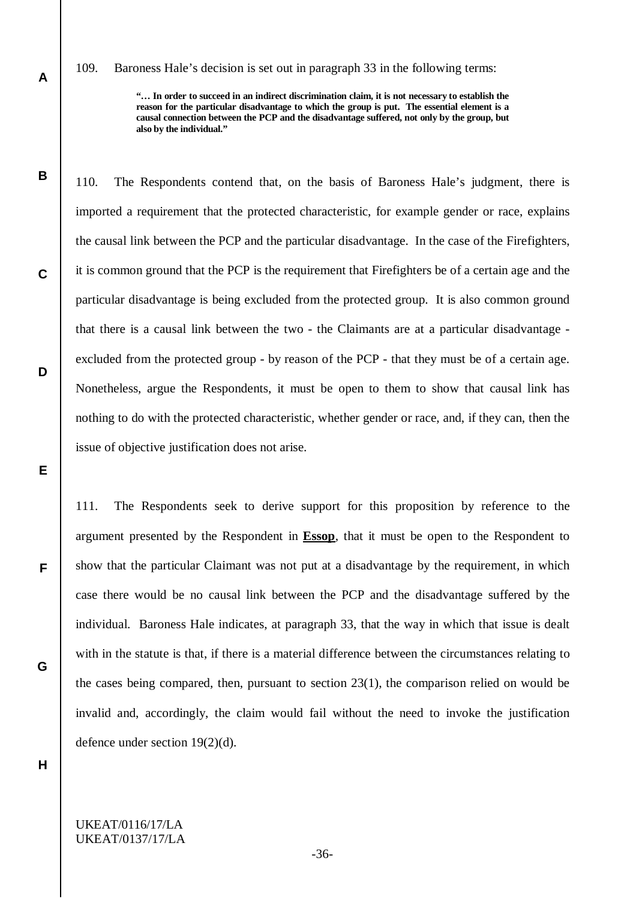109. Baroness Hale's decision is set out in paragraph 33 in the following terms:

**"… In order to succeed in an indirect discrimination claim, it is not necessary to establish the reason for the particular disadvantage to which the group is put. The essential element is a causal connection between the PCP and the disadvantage suffered, not only by the group, but also by the individual."** 

110. The Respondents contend that, on the basis of Baroness Hale's judgment, there is imported a requirement that the protected characteristic, for example gender or race, explains the causal link between the PCP and the particular disadvantage. In the case of the Firefighters, it is common ground that the PCP is the requirement that Firefighters be of a certain age and the particular disadvantage is being excluded from the protected group. It is also common ground that there is a causal link between the two - the Claimants are at a particular disadvantage excluded from the protected group - by reason of the PCP - that they must be of a certain age. Nonetheless, argue the Respondents, it must be open to them to show that causal link has nothing to do with the protected characteristic, whether gender or race, and, if they can, then the issue of objective justification does not arise.

111. The Respondents seek to derive support for this proposition by reference to the argument presented by the Respondent in **Essop**, that it must be open to the Respondent to show that the particular Claimant was not put at a disadvantage by the requirement, in which case there would be no causal link between the PCP and the disadvantage suffered by the individual. Baroness Hale indicates, at paragraph 33, that the way in which that issue is dealt with in the statute is that, if there is a material difference between the circumstances relating to the cases being compared, then, pursuant to section 23(1), the comparison relied on would be invalid and, accordingly, the claim would fail without the need to invoke the justification defence under section 19(2)(d).

**H**

**A**

**B**

**C**

**D**

**E**

**F**

**G**

## UKEAT/0116/17/LA UKEAT/0137/17/LA

-36-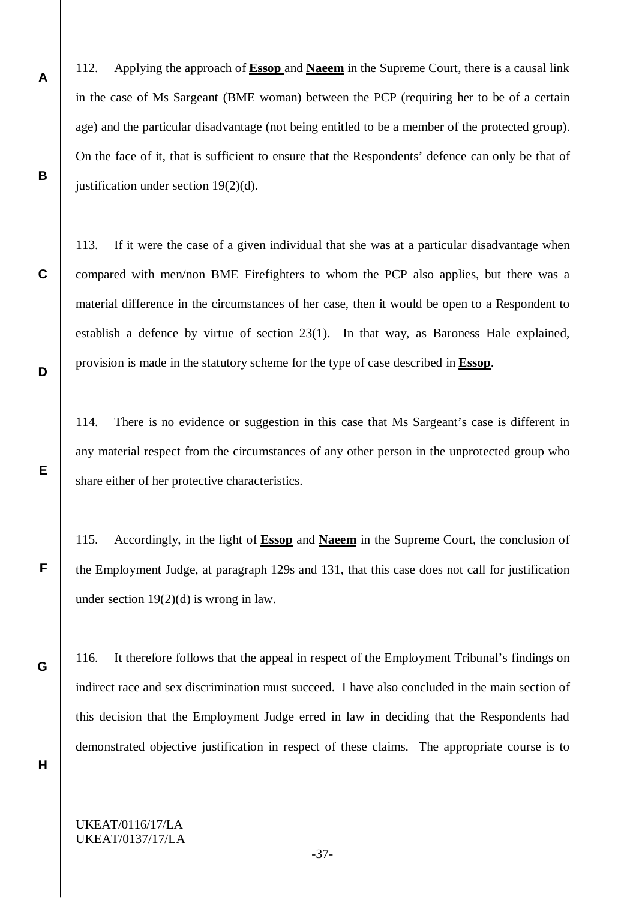112. Applying the approach of **Essop** and **Naeem** in the Supreme Court, there is a causal link in the case of Ms Sargeant (BME woman) between the PCP (requiring her to be of a certain age) and the particular disadvantage (not being entitled to be a member of the protected group). On the face of it, that is sufficient to ensure that the Respondents' defence can only be that of justification under section  $19(2)(d)$ .

113. If it were the case of a given individual that she was at a particular disadvantage when compared with men/non BME Firefighters to whom the PCP also applies, but there was a material difference in the circumstances of her case, then it would be open to a Respondent to establish a defence by virtue of section 23(1). In that way, as Baroness Hale explained, provision is made in the statutory scheme for the type of case described in **Essop**.

114. There is no evidence or suggestion in this case that Ms Sargeant's case is different in any material respect from the circumstances of any other person in the unprotected group who share either of her protective characteristics.

115. Accordingly, in the light of **Essop** and **Naeem** in the Supreme Court, the conclusion of the Employment Judge, at paragraph 129s and 131, that this case does not call for justification under section 19(2)(d) is wrong in law.

116. It therefore follows that the appeal in respect of the Employment Tribunal's findings on indirect race and sex discrimination must succeed. I have also concluded in the main section of this decision that the Employment Judge erred in law in deciding that the Respondents had demonstrated objective justification in respect of these claims. The appropriate course is to

**H**

**A**

**B**

**C**

**D**

**E**

**F**

**G**